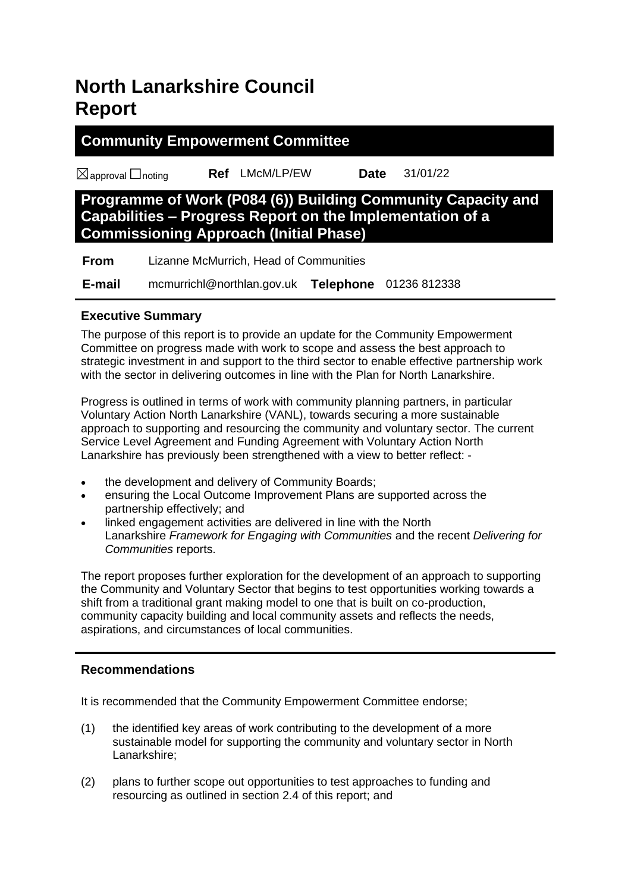# **North Lanarkshire Council Report**

#### **Community Empowerment Committee**

☒approval ☐noting **Ref** LMcM/LP/EW **Date** 31/01/22

# **Programme of Work (P084 (6)) Building Community Capacity and Capabilities – Progress Report on the Implementation of a Commissioning Approach (Initial Phase)**

| <b>From</b> | Lizanne McMurrich, Head of Communities |  |                               |
|-------------|----------------------------------------|--|-------------------------------|
| E-mail      | mcmurrichl@northlan.gov.uk             |  | <b>Telephone</b> 01236 812338 |

#### **Executive Summary**

The purpose of this report is to provide an update for the Community Empowerment Committee on progress made with work to scope and assess the best approach to strategic investment in and support to the third sector to enable effective partnership work with the sector in delivering outcomes in line with the Plan for North Lanarkshire.

Progress is outlined in terms of work with community planning partners, in particular Voluntary Action North Lanarkshire (VANL), towards securing a more sustainable approach to supporting and resourcing the community and voluntary sector. The current Service Level Agreement and Funding Agreement with Voluntary Action North Lanarkshire has previously been strengthened with a view to better reflect: -

- the development and delivery of Community Boards;
- ensuring the Local Outcome Improvement Plans are supported across the partnership effectively; and
- linked engagement activities are delivered in line with the North Lanarkshire *Framework for Engaging with Communities* and the recent *Delivering for Communities* reports.

The report proposes further exploration for the development of an approach to supporting the Community and Voluntary Sector that begins to test opportunities working towards a shift from a traditional grant making model to one that is built on co-production, community capacity building and local community assets and reflects the needs, aspirations, and circumstances of local communities.

#### **Recommendations**

It is recommended that the Community Empowerment Committee endorse;

- (1) the identified key areas of work contributing to the development of a more sustainable model for supporting the community and voluntary sector in North Lanarkshire;
- (2) plans to further scope out opportunities to test approaches to funding and resourcing as outlined in section 2.4 of this report; and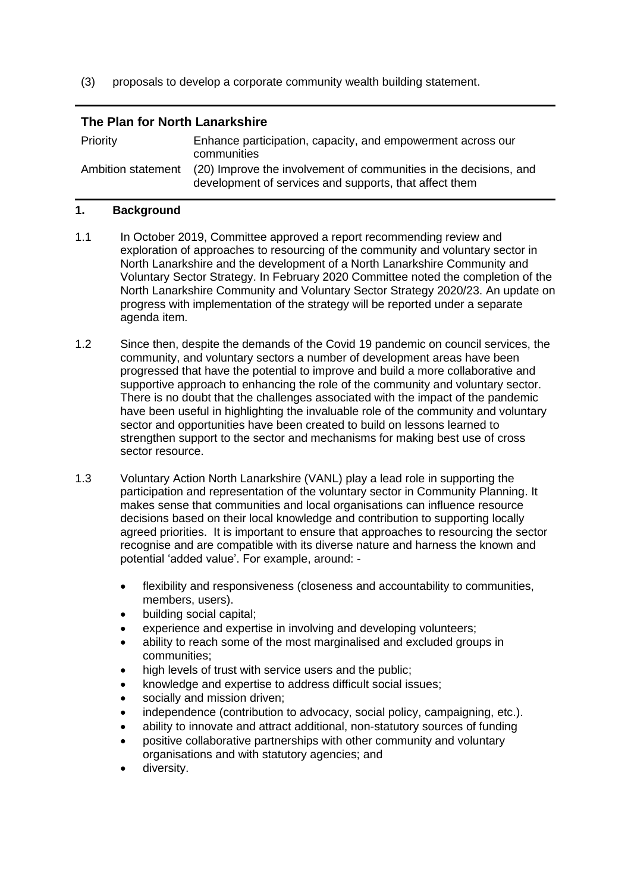(3) proposals to develop a corporate community wealth building statement.

#### **The Plan for North Lanarkshire**

| <b>Priority</b>    | Enhance participation, capacity, and empowerment across our<br>communities                                                  |
|--------------------|-----------------------------------------------------------------------------------------------------------------------------|
| Ambition statement | (20) Improve the involvement of communities in the decisions, and<br>development of services and supports, that affect them |

#### **1. Background**

- 1.1 In October 2019, Committee approved a report recommending review and exploration of approaches to resourcing of the community and voluntary sector in North Lanarkshire and the development of a North Lanarkshire Community and Voluntary Sector Strategy. In February 2020 Committee noted the completion of the North Lanarkshire Community and Voluntary Sector Strategy 2020/23. An update on progress with implementation of the strategy will be reported under a separate agenda item.
- 1.2 Since then, despite the demands of the Covid 19 pandemic on council services, the community, and voluntary sectors a number of development areas have been progressed that have the potential to improve and build a more collaborative and supportive approach to enhancing the role of the community and voluntary sector. There is no doubt that the challenges associated with the impact of the pandemic have been useful in highlighting the invaluable role of the community and voluntary sector and opportunities have been created to build on lessons learned to strengthen support to the sector and mechanisms for making best use of cross sector resource.
- 1.3 Voluntary Action North Lanarkshire (VANL) play a lead role in supporting the participation and representation of the voluntary sector in Community Planning. It makes sense that communities and local organisations can influence resource decisions based on their local knowledge and contribution to supporting locally agreed priorities. It is important to ensure that approaches to resourcing the sector recognise and are compatible with its diverse nature and harness the known and potential 'added value'. For example, around: -
	- flexibility and responsiveness (closeness and accountability to communities, members, users).
	- building social capital;
	- experience and expertise in involving and developing volunteers;
	- ability to reach some of the most marginalised and excluded groups in communities;
	- high levels of trust with service users and the public:
	- knowledge and expertise to address difficult social issues;
	- socially and mission driven;
	- independence (contribution to advocacy, social policy, campaigning, etc.).
	- ability to innovate and attract additional, non-statutory sources of funding
	- positive collaborative partnerships with other community and voluntary organisations and with statutory agencies; and
	- diversity.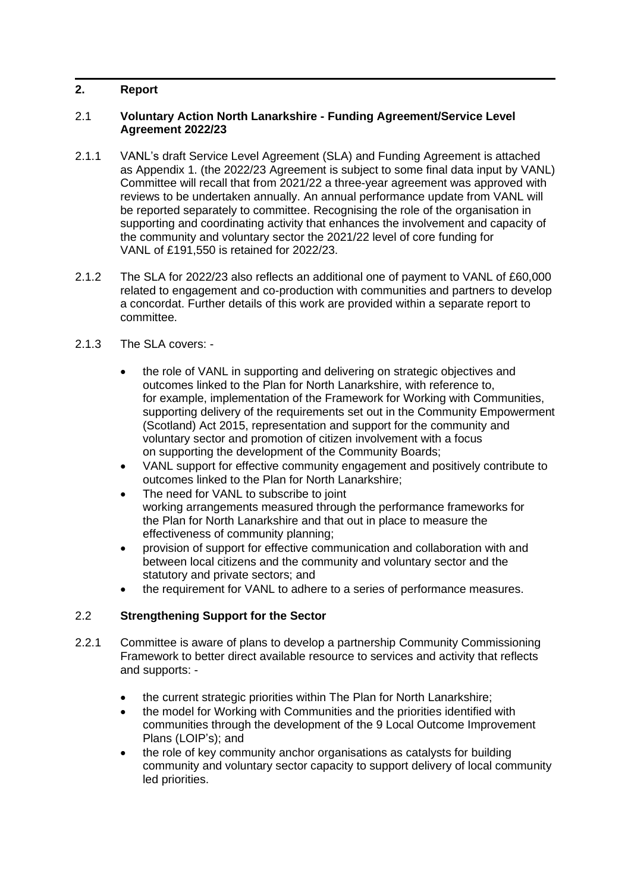#### **2. Report**

#### 2.1 **Voluntary Action North Lanarkshire - Funding Agreement/Service Level Agreement 2022/23**

- 2.1.1 VANL's draft Service Level Agreement (SLA) and Funding Agreement is attached as Appendix 1. (the 2022/23 Agreement is subject to some final data input by VANL) Committee will recall that from 2021/22 a three-year agreement was approved with reviews to be undertaken annually. An annual performance update from VANL will be reported separately to committee. Recognising the role of the organisation in supporting and coordinating activity that enhances the involvement and capacity of the community and voluntary sector the 2021/22 level of core funding for VANL of £191,550 is retained for 2022/23.
- 2.1.2 The SLA for 2022/23 also reflects an additional one of payment to VANL of £60,000 related to engagement and co-production with communities and partners to develop a concordat. Further details of this work are provided within a separate report to committee.
- 2.1.3 The SLA covers: -
	- the role of VANL in supporting and delivering on strategic objectives and outcomes linked to the Plan for North Lanarkshire, with reference to, for example, implementation of the Framework for Working with Communities, supporting delivery of the requirements set out in the Community Empowerment (Scotland) Act 2015, representation and support for the community and voluntary sector and promotion of citizen involvement with a focus on supporting the development of the Community Boards;
	- VANL support for effective community engagement and positively contribute to outcomes linked to the Plan for North Lanarkshire;
	- The need for VANL to subscribe to joint working arrangements measured through the performance frameworks for the Plan for North Lanarkshire and that out in place to measure the effectiveness of community planning;
	- provision of support for effective communication and collaboration with and between local citizens and the community and voluntary sector and the statutory and private sectors; and
	- the requirement for VANL to adhere to a series of performance measures.

#### 2.2 **Strengthening Support for the Sector**

- 2.2.1 Committee is aware of plans to develop a partnership Community Commissioning Framework to better direct available resource to services and activity that reflects and supports: -
	- the current strategic priorities within The Plan for North Lanarkshire;
	- the model for Working with Communities and the priorities identified with communities through the development of the 9 Local Outcome Improvement Plans (LOIP's); and
	- the role of key community anchor organisations as catalysts for building community and voluntary sector capacity to support delivery of local community led priorities.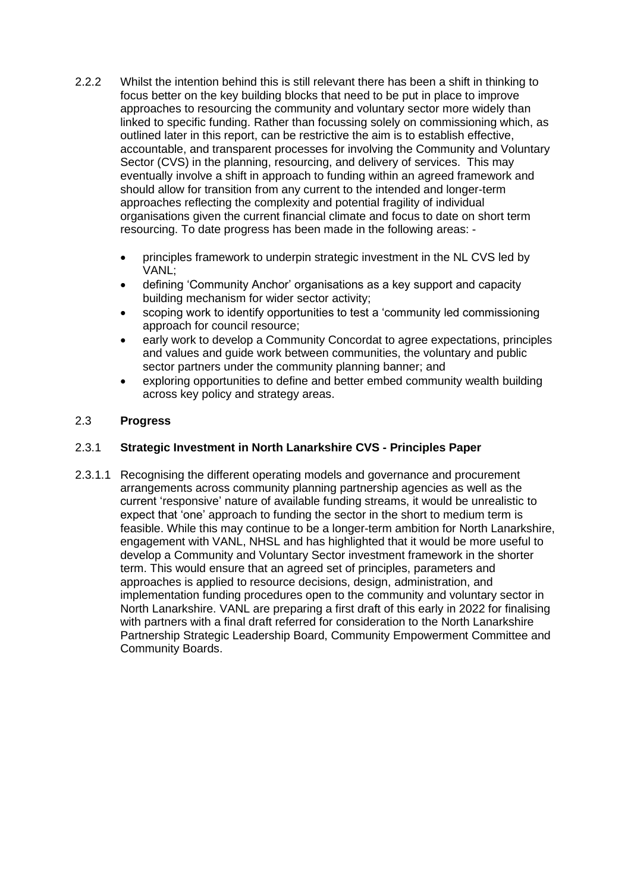- 2.2.2 Whilst the intention behind this is still relevant there has been a shift in thinking to focus better on the key building blocks that need to be put in place to improve approaches to resourcing the community and voluntary sector more widely than linked to specific funding. Rather than focussing solely on commissioning which, as outlined later in this report, can be restrictive the aim is to establish effective, accountable, and transparent processes for involving the Community and Voluntary Sector (CVS) in the planning, resourcing, and delivery of services. This may eventually involve a shift in approach to funding within an agreed framework and should allow for transition from any current to the intended and longer-term approaches reflecting the complexity and potential fragility of individual organisations given the current financial climate and focus to date on short term resourcing. To date progress has been made in the following areas: -
	- principles framework to underpin strategic investment in the NL CVS led by VANL;
	- defining 'Community Anchor' organisations as a key support and capacity building mechanism for wider sector activity;
	- scoping work to identify opportunities to test a 'community led commissioning approach for council resource;
	- early work to develop a Community Concordat to agree expectations, principles and values and guide work between communities, the voluntary and public sector partners under the community planning banner; and
	- exploring opportunities to define and better embed community wealth building across key policy and strategy areas.

#### 2.3 **Progress**

#### 2.3.1 **Strategic Investment in North Lanarkshire CVS - Principles Paper**

2.3.1.1 Recognising the different operating models and governance and procurement arrangements across community planning partnership agencies as well as the current 'responsive' nature of available funding streams, it would be unrealistic to expect that 'one' approach to funding the sector in the short to medium term is feasible. While this may continue to be a longer-term ambition for North Lanarkshire, engagement with VANL, NHSL and has highlighted that it would be more useful to develop a Community and Voluntary Sector investment framework in the shorter term. This would ensure that an agreed set of principles, parameters and approaches is applied to resource decisions, design, administration, and implementation funding procedures open to the community and voluntary sector in North Lanarkshire. VANL are preparing a first draft of this early in 2022 for finalising with partners with a final draft referred for consideration to the North Lanarkshire Partnership Strategic Leadership Board, Community Empowerment Committee and Community Boards.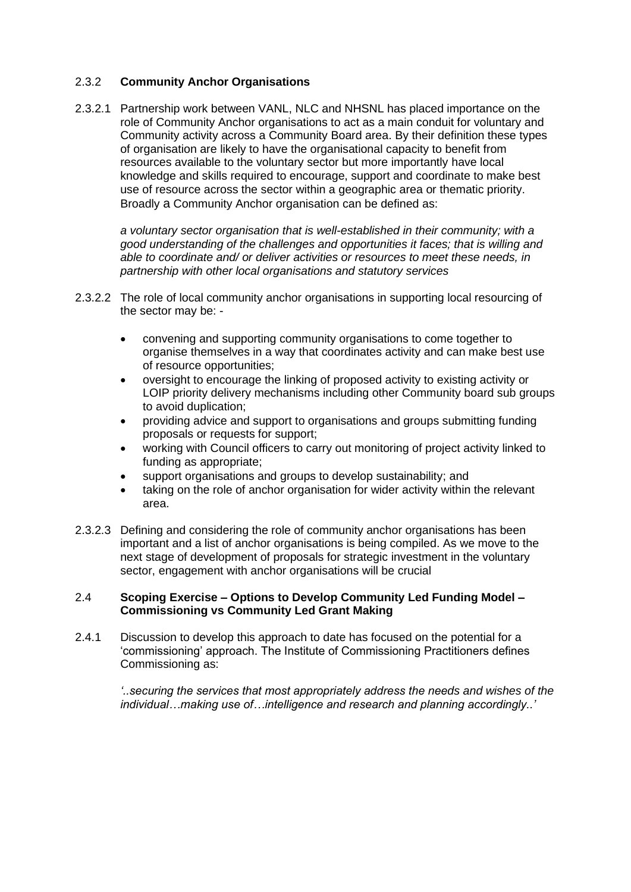#### 2.3.2 **Community Anchor Organisations**

2.3.2.1 Partnership work between VANL, NLC and NHSNL has placed importance on the role of Community Anchor organisations to act as a main conduit for voluntary and Community activity across a Community Board area. By their definition these types of organisation are likely to have the organisational capacity to benefit from resources available to the voluntary sector but more importantly have local knowledge and skills required to encourage, support and coordinate to make best use of resource across the sector within a geographic area or thematic priority. Broadly a Community Anchor organisation can be defined as:

*a voluntary sector organisation that is well-established in their community; with a good understanding of the challenges and opportunities it faces; that is willing and able to coordinate and/ or deliver activities or resources to meet these needs, in partnership with other local organisations and statutory services*

- 2.3.2.2 The role of local community anchor organisations in supporting local resourcing of the sector may be: -
	- convening and supporting community organisations to come together to organise themselves in a way that coordinates activity and can make best use of resource opportunities;
	- oversight to encourage the linking of proposed activity to existing activity or LOIP priority delivery mechanisms including other Community board sub groups to avoid duplication;
	- providing advice and support to organisations and groups submitting funding proposals or requests for support;
	- working with Council officers to carry out monitoring of project activity linked to funding as appropriate;
	- support organisations and groups to develop sustainability; and
	- taking on the role of anchor organisation for wider activity within the relevant area.
- 2.3.2.3 Defining and considering the role of community anchor organisations has been important and a list of anchor organisations is being compiled. As we move to the next stage of development of proposals for strategic investment in the voluntary sector, engagement with anchor organisations will be crucial

#### 2.4 **Scoping Exercise – Options to Develop Community Led Funding Model – Commissioning vs Community Led Grant Making**

2.4.1 Discussion to develop this approach to date has focused on the potential for a 'commissioning' approach. The Institute of Commissioning Practitioners defines Commissioning as:

*'..securing the services that most appropriately address the needs and wishes of the individual…making use of…intelligence and research and planning accordingly..'*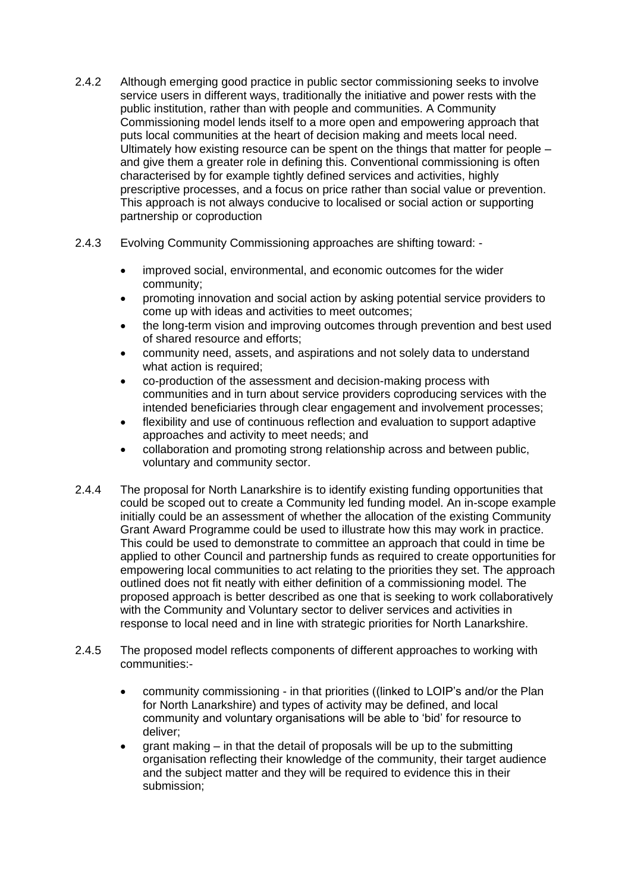- 2.4.2 Although emerging good practice in public sector commissioning seeks to involve service users in different ways, traditionally the initiative and power rests with the public institution, rather than with people and communities. A Community Commissioning model lends itself to a more open and empowering approach that puts local communities at the heart of decision making and meets local need. Ultimately how existing resource can be spent on the things that matter for people – and give them a greater role in defining this. Conventional commissioning is often characterised by for example tightly defined services and activities, highly prescriptive processes, and a focus on price rather than social value or prevention. This approach is not always conducive to localised or social action or supporting partnership or coproduction
- 2.4.3 Evolving Community Commissioning approaches are shifting toward:
	- improved social, environmental, and economic outcomes for the wider community;
	- promoting innovation and social action by asking potential service providers to come up with ideas and activities to meet outcomes;
	- the long-term vision and improving outcomes through prevention and best used of shared resource and efforts;
	- community need, assets, and aspirations and not solely data to understand what action is required;
	- co-production of the assessment and decision-making process with communities and in turn about service providers coproducing services with the intended beneficiaries through clear engagement and involvement processes;
	- flexibility and use of continuous reflection and evaluation to support adaptive approaches and activity to meet needs; and
	- collaboration and promoting strong relationship across and between public, voluntary and community sector.
- 2.4.4 The proposal for North Lanarkshire is to identify existing funding opportunities that could be scoped out to create a Community led funding model. An in-scope example initially could be an assessment of whether the allocation of the existing Community Grant Award Programme could be used to illustrate how this may work in practice. This could be used to demonstrate to committee an approach that could in time be applied to other Council and partnership funds as required to create opportunities for empowering local communities to act relating to the priorities they set. The approach outlined does not fit neatly with either definition of a commissioning model. The proposed approach is better described as one that is seeking to work collaboratively with the Community and Voluntary sector to deliver services and activities in response to local need and in line with strategic priorities for North Lanarkshire.
- 2.4.5 The proposed model reflects components of different approaches to working with communities:-
	- community commissioning in that priorities ((linked to LOIP's and/or the Plan for North Lanarkshire) and types of activity may be defined, and local community and voluntary organisations will be able to 'bid' for resource to deliver;
	- grant making in that the detail of proposals will be up to the submitting organisation reflecting their knowledge of the community, their target audience and the subject matter and they will be required to evidence this in their submission;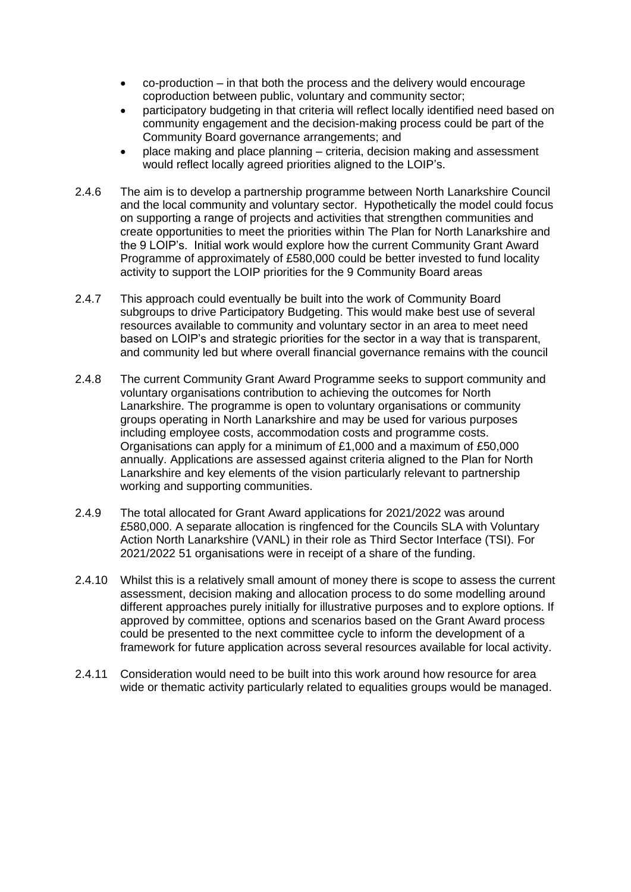- co-production in that both the process and the delivery would encourage coproduction between public, voluntary and community sector;
- participatory budgeting in that criteria will reflect locally identified need based on community engagement and the decision-making process could be part of the Community Board governance arrangements; and
- place making and place planning criteria, decision making and assessment would reflect locally agreed priorities aligned to the LOIP's.
- 2.4.6 The aim is to develop a partnership programme between North Lanarkshire Council and the local community and voluntary sector. Hypothetically the model could focus on supporting a range of projects and activities that strengthen communities and create opportunities to meet the priorities within The Plan for North Lanarkshire and the 9 LOIP's. Initial work would explore how the current Community Grant Award Programme of approximately of £580,000 could be better invested to fund locality activity to support the LOIP priorities for the 9 Community Board areas
- 2.4.7 This approach could eventually be built into the work of Community Board subgroups to drive Participatory Budgeting. This would make best use of several resources available to community and voluntary sector in an area to meet need based on LOIP's and strategic priorities for the sector in a way that is transparent, and community led but where overall financial governance remains with the council
- 2.4.8 The current Community Grant Award Programme seeks to support community and voluntary organisations contribution to achieving the outcomes for North Lanarkshire. The programme is open to voluntary organisations or community groups operating in North Lanarkshire and may be used for various purposes including employee costs, accommodation costs and programme costs. Organisations can apply for a minimum of £1,000 and a maximum of £50,000 annually. Applications are assessed against criteria aligned to the Plan for North Lanarkshire and key elements of the vision particularly relevant to partnership working and supporting communities.
- 2.4.9 The total allocated for Grant Award applications for 2021/2022 was around £580,000. A separate allocation is ringfenced for the Councils SLA with Voluntary Action North Lanarkshire (VANL) in their role as Third Sector Interface (TSI). For 2021/2022 51 organisations were in receipt of a share of the funding.
- 2.4.10 Whilst this is a relatively small amount of money there is scope to assess the current assessment, decision making and allocation process to do some modelling around different approaches purely initially for illustrative purposes and to explore options. If approved by committee, options and scenarios based on the Grant Award process could be presented to the next committee cycle to inform the development of a framework for future application across several resources available for local activity.
- 2.4.11 Consideration would need to be built into this work around how resource for area wide or thematic activity particularly related to equalities groups would be managed.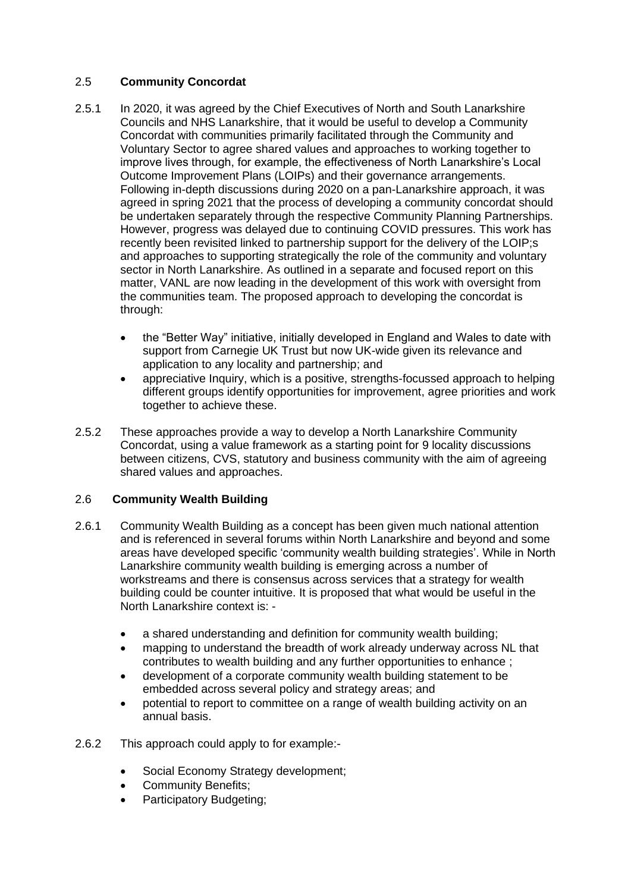#### 2.5 **Community Concordat**

- 2.5.1 In 2020, it was agreed by the Chief Executives of North and South Lanarkshire Councils and NHS Lanarkshire, that it would be useful to develop a Community Concordat with communities primarily facilitated through the Community and Voluntary Sector to agree shared values and approaches to working together to improve lives through, for example, the effectiveness of North Lanarkshire's Local Outcome Improvement Plans (LOIPs) and their governance arrangements. Following in-depth discussions during 2020 on a pan-Lanarkshire approach, it was agreed in spring 2021 that the process of developing a community concordat should be undertaken separately through the respective Community Planning Partnerships. However, progress was delayed due to continuing COVID pressures. This work has recently been revisited linked to partnership support for the delivery of the LOIP;s and approaches to supporting strategically the role of the community and voluntary sector in North Lanarkshire. As outlined in a separate and focused report on this matter, VANL are now leading in the development of this work with oversight from the communities team. The proposed approach to developing the concordat is through:
	- the "Better Way" initiative, initially developed in England and Wales to date with support from Carnegie UK Trust but now UK-wide given its relevance and application to any locality and partnership; and
	- appreciative Inquiry, which is a positive, strengths-focussed approach to helping different groups identify opportunities for improvement, agree priorities and work together to achieve these.
- 2.5.2 These approaches provide a way to develop a North Lanarkshire Community Concordat, using a value framework as a starting point for 9 locality discussions between citizens, CVS, statutory and business community with the aim of agreeing shared values and approaches.

#### 2.6 **Community Wealth Building**

- 2.6.1 Community Wealth Building as a concept has been given much national attention and is referenced in several forums within North Lanarkshire and beyond and some areas have developed specific 'community wealth building strategies'. While in North Lanarkshire community wealth building is emerging across a number of workstreams and there is consensus across services that a strategy for wealth building could be counter intuitive. It is proposed that what would be useful in the North Lanarkshire context is:
	- a shared understanding and definition for community wealth building;
	- mapping to understand the breadth of work already underway across NL that contributes to wealth building and any further opportunities to enhance ;
	- development of a corporate community wealth building statement to be embedded across several policy and strategy areas; and
	- potential to report to committee on a range of wealth building activity on an annual basis.
- 2.6.2 This approach could apply to for example:-
	- Social Economy Strategy development;
	- Community Benefits;
	- Participatory Budgeting;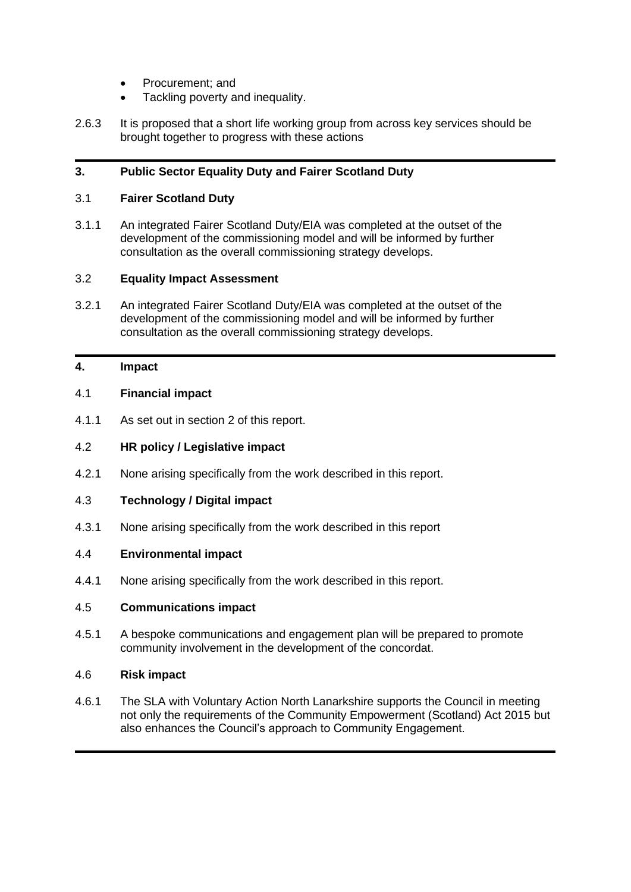- Procurement: and
- Tackling poverty and inequality.
- 2.6.3 It is proposed that a short life working group from across key services should be brought together to progress with these actions

#### **3. Public Sector Equality Duty and Fairer Scotland Duty**

#### 3.1 **Fairer Scotland Duty**

3.1.1 An integrated Fairer Scotland Duty/EIA was completed at the outset of the development of the commissioning model and will be informed by further consultation as the overall commissioning strategy develops.

#### 3.2 **Equality Impact Assessment**

3.2.1 An integrated Fairer Scotland Duty/EIA was completed at the outset of the development of the commissioning model and will be informed by further consultation as the overall commissioning strategy develops.

#### **4. Impact**

#### 4.1 **Financial impact**

4.1.1 As set out in section 2 of this report.

#### 4.2 **HR policy / Legislative impact**

4.2.1 None arising specifically from the work described in this report.

#### 4.3 **Technology / Digital impact**

4.3.1 None arising specifically from the work described in this report

#### 4.4 **Environmental impact**

4.4.1 None arising specifically from the work described in this report.

#### 4.5 **Communications impact**

4.5.1 A bespoke communications and engagement plan will be prepared to promote community involvement in the development of the concordat.

#### 4.6 **Risk impact**

4.6.1 The SLA with Voluntary Action North Lanarkshire supports the Council in meeting not only the requirements of the Community Empowerment (Scotland) Act 2015 but also enhances the Council's approach to Community Engagement.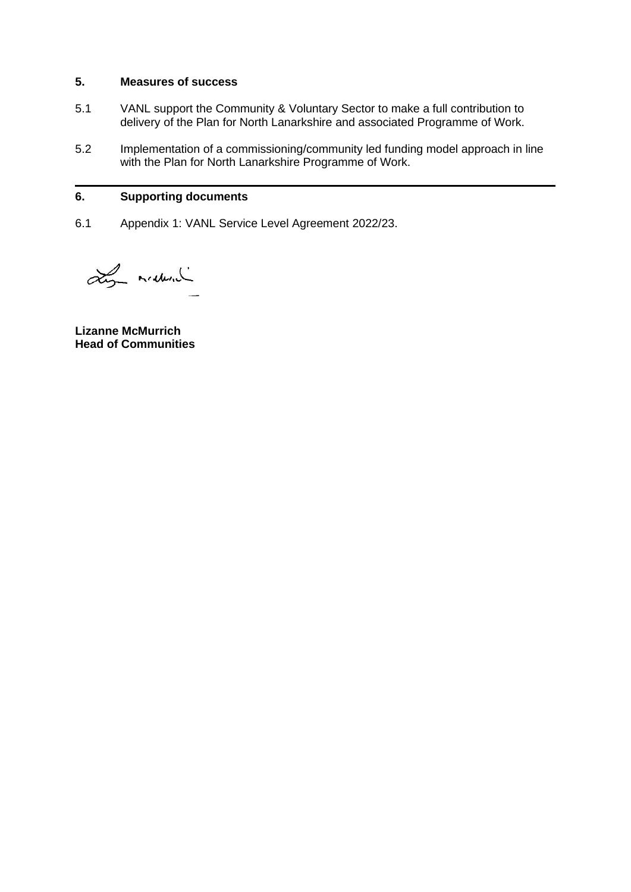#### **5. Measures of success**

- 5.1 VANL support the Community & Voluntary Sector to make a full contribution to delivery of the Plan for North Lanarkshire and associated Programme of Work.
- 5.2 Implementation of a commissioning/community led funding model approach in line with the Plan for North Lanarkshire Programme of Work.

#### **6. Supporting documents**

6.1 Appendix 1: VANL Service Level Agreement 2022/23.

Ly maderal

**Lizanne McMurrich Head of Communities**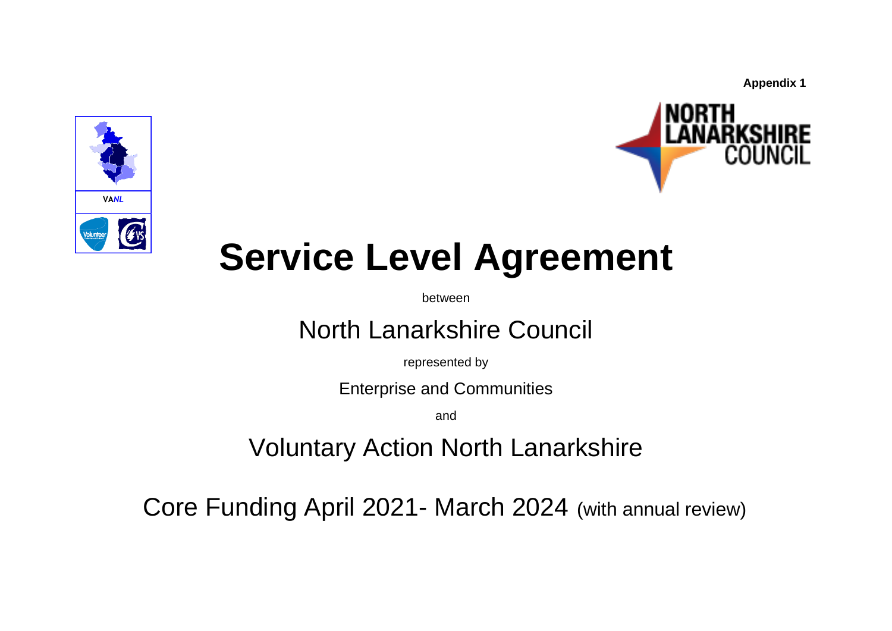**Appendix 1**





# **Service Level Agreement**

between

# North Lanarkshire Council

represented by

Enterprise and Communities

and

Voluntary Action North Lanarkshire

Core Funding April 2021- March 2024 (with annual review)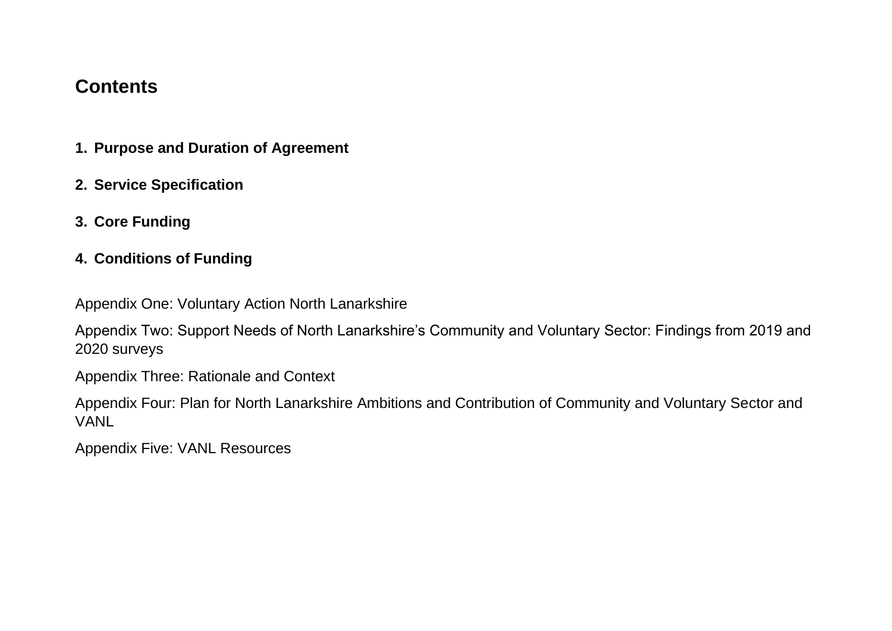# **Contents**

- **1. Purpose and Duration of Agreement**
- **2. Service Specification**
- **3. Core Funding**
- **4. Conditions of Funding**

Appendix One: Voluntary Action North Lanarkshire

Appendix Two: Support Needs of North Lanarkshire's Community and Voluntary Sector: Findings from 2019 and 2020 surveys

Appendix Three: Rationale and Context

Appendix Four: Plan for North Lanarkshire Ambitions and Contribution of Community and Voluntary Sector and VANL

Appendix Five: VANL Resources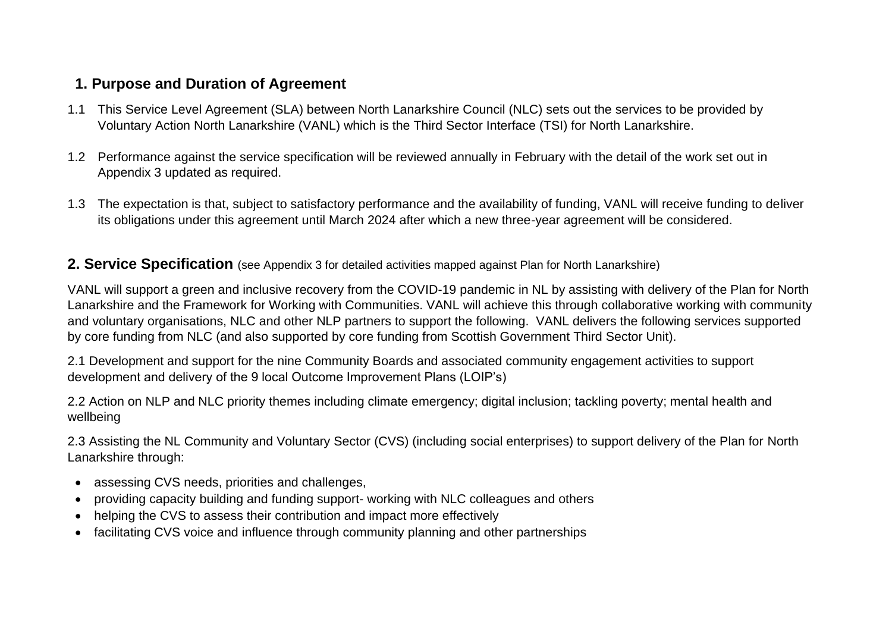# **1. Purpose and Duration of Agreement**

- 1.1 This Service Level Agreement (SLA) between North Lanarkshire Council (NLC) sets out the services to be provided by Voluntary Action North Lanarkshire (VANL) which is the Third Sector Interface (TSI) for North Lanarkshire.
- 1.2 Performance against the service specification will be reviewed annually in February with the detail of the work set out in Appendix 3 updated as required.
- 1.3 The expectation is that, subject to satisfactory performance and the availability of funding, VANL will receive funding to deliver its obligations under this agreement until March 2024 after which a new three-year agreement will be considered.

#### **2. Service Specification** (see Appendix 3 for detailed activities mapped against Plan for North Lanarkshire)

VANL will support a green and inclusive recovery from the COVID-19 pandemic in NL by assisting with delivery of the Plan for North Lanarkshire and the Framework for Working with Communities. VANL will achieve this through collaborative working with community and voluntary organisations, NLC and other NLP partners to support the following. VANL delivers the following services supported by core funding from NLC (and also supported by core funding from Scottish Government Third Sector Unit).

2.1 Development and support for the nine Community Boards and associated community engagement activities to support development and delivery of the 9 local Outcome Improvement Plans (LOIP's)

2.2 Action on NLP and NLC priority themes including climate emergency; digital inclusion; tackling poverty; mental health and wellbeing

2.3 Assisting the NL Community and Voluntary Sector (CVS) (including social enterprises) to support delivery of the Plan for North Lanarkshire through:

- assessing CVS needs, priorities and challenges,
- providing capacity building and funding support- working with NLC colleagues and others
- helping the CVS to assess their contribution and impact more effectively
- facilitating CVS voice and influence through community planning and other partnerships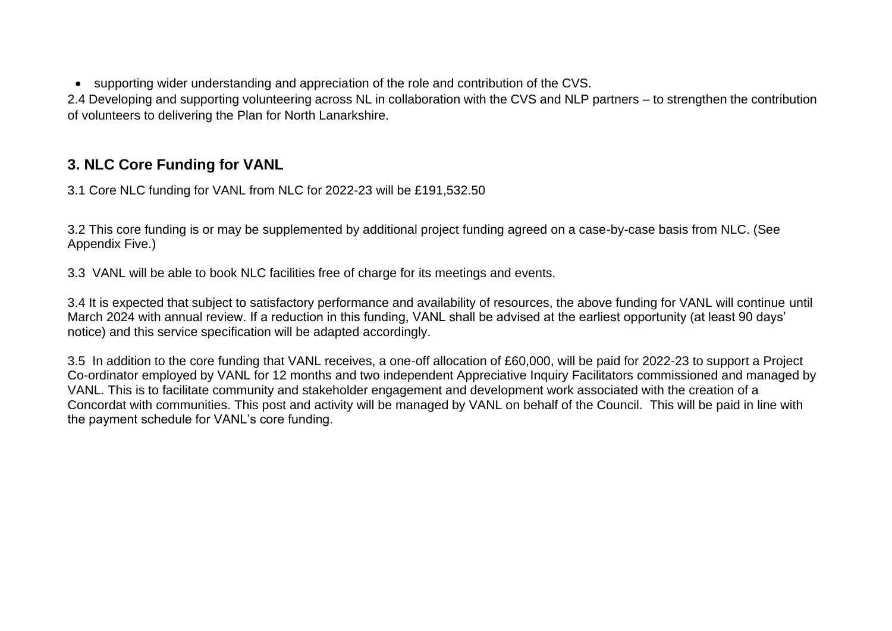• supporting wider understanding and appreciation of the role and contribution of the CVS.

2.4 Developing and supporting volunteering across NL in collaboration with the CVS and NLP partners – to strengthen the contribution of volunteers to delivering the Plan for North Lanarkshire.

# **3. NLC Core Funding for VANL**

3.1 Core NLC funding for VANL from NLC for 2022-23 will be £191,532.50

3.2 This core funding is or may be supplemented by additional project funding agreed on a case-by-case basis from NLC. (See Appendix Five.)

3.3 VANL will be able to book NLC facilities free of charge for its meetings and events.

3.4 It is expected that subject to satisfactory performance and availability of resources, the above funding for VANL will continue until March 2024 with annual review. If a reduction in this funding, VANL shall be advised at the earliest opportunity (at least 90 days' notice) and this service specification will be adapted accordingly.

3.5 In addition to the core funding that VANL receives, a one-off allocation of £60,000, will be paid for 2022-23 to support a Project Co-ordinator employed by VANL for 12 months and two independent Appreciative Inquiry Facilitators commissioned and managed by VANL. This is to facilitate community and stakeholder engagement and development work associated with the creation of a Concordat with communities. This post and activity will be managed by VANL on behalf of the Council. This will be paid in line with the payment schedule for VANL's core funding.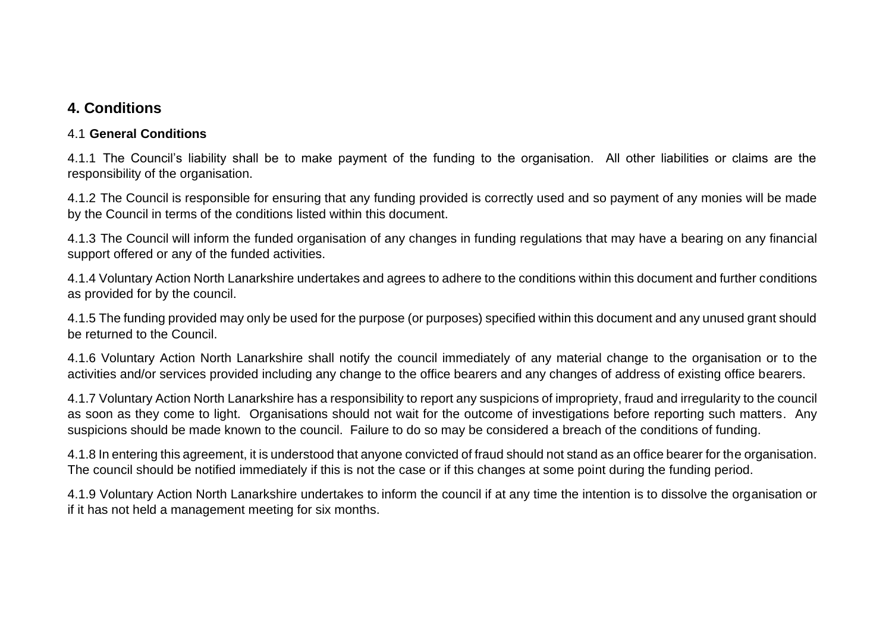# **4. Conditions**

#### 4.1 **General Conditions**

4.1.1 The Council's liability shall be to make payment of the funding to the organisation. All other liabilities or claims are the responsibility of the organisation.

4.1.2 The Council is responsible for ensuring that any funding provided is correctly used and so payment of any monies will be made by the Council in terms of the conditions listed within this document.

4.1.3 The Council will inform the funded organisation of any changes in funding regulations that may have a bearing on any financial support offered or any of the funded activities.

4.1.4 Voluntary Action North Lanarkshire undertakes and agrees to adhere to the conditions within this document and further conditions as provided for by the council.

4.1.5 The funding provided may only be used for the purpose (or purposes) specified within this document and any unused grant should be returned to the Council.

4.1.6 Voluntary Action North Lanarkshire shall notify the council immediately of any material change to the organisation or to the activities and/or services provided including any change to the office bearers and any changes of address of existing office bearers.

4.1.7 Voluntary Action North Lanarkshire has a responsibility to report any suspicions of impropriety, fraud and irregularity to the council as soon as they come to light. Organisations should not wait for the outcome of investigations before reporting such matters. Any suspicions should be made known to the council. Failure to do so may be considered a breach of the conditions of funding.

4.1.8 In entering this agreement, it is understood that anyone convicted of fraud should not stand as an office bearer for the organisation. The council should be notified immediately if this is not the case or if this changes at some point during the funding period.

4.1.9 Voluntary Action North Lanarkshire undertakes to inform the council if at any time the intention is to dissolve the organisation or if it has not held a management meeting for six months.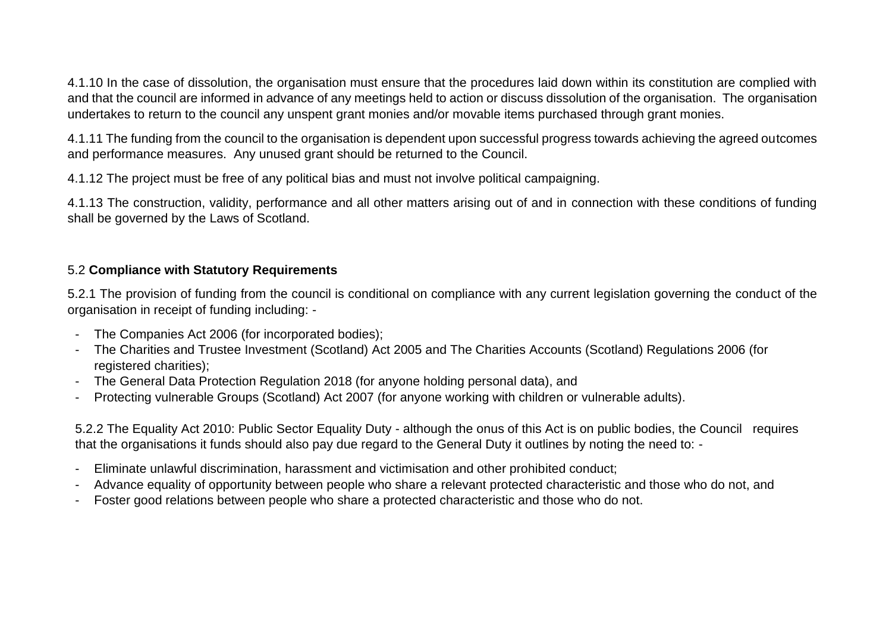4.1.10 In the case of dissolution, the organisation must ensure that the procedures laid down within its constitution are complied with and that the council are informed in advance of any meetings held to action or discuss dissolution of the organisation. The organisation undertakes to return to the council any unspent grant monies and/or movable items purchased through grant monies.

4.1.11 The funding from the council to the organisation is dependent upon successful progress towards achieving the agreed outcomes and performance measures. Any unused grant should be returned to the Council.

4.1.12 The project must be free of any political bias and must not involve political campaigning.

4.1.13 The construction, validity, performance and all other matters arising out of and in connection with these conditions of funding shall be governed by the Laws of Scotland.

#### 5.2 **Compliance with Statutory Requirements**

5.2.1 The provision of funding from the council is conditional on compliance with any current legislation governing the conduct of the organisation in receipt of funding including: -

- The Companies Act 2006 (for incorporated bodies);
- The Charities and Trustee Investment (Scotland) Act 2005 and The Charities Accounts (Scotland) Regulations 2006 (for registered charities);
- The General Data Protection Regulation 2018 (for anyone holding personal data), and
- Protecting vulnerable Groups (Scotland) Act 2007 (for anyone working with children or vulnerable adults).

5.2.2 The Equality Act 2010: Public Sector Equality Duty - although the onus of this Act is on public bodies, the Council requires that the organisations it funds should also pay due regard to the General Duty it outlines by noting the need to: -

- Eliminate unlawful discrimination, harassment and victimisation and other prohibited conduct;
- Advance equality of opportunity between people who share a relevant protected characteristic and those who do not, and
- Foster good relations between people who share a protected characteristic and those who do not.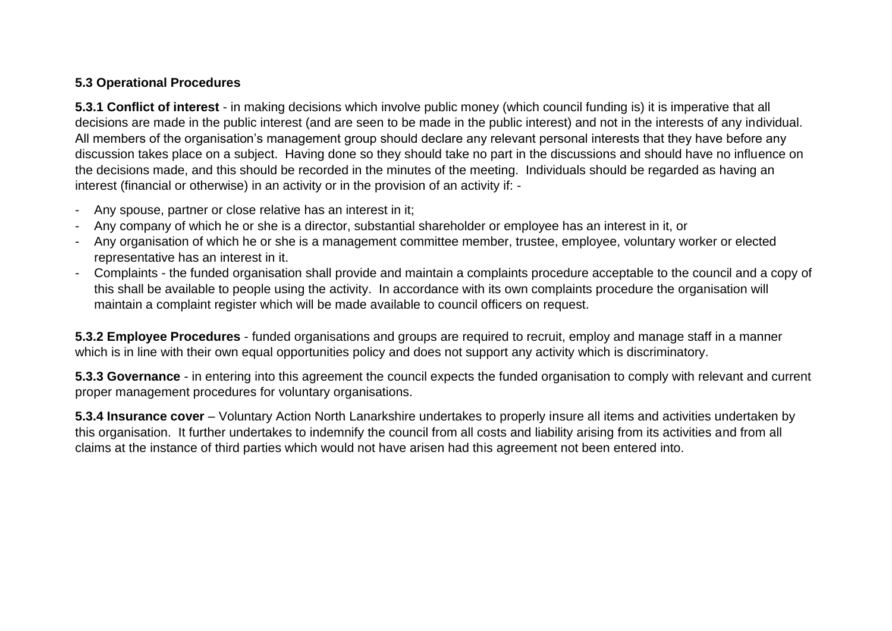#### **5.3 Operational Procedures**

**5.3.1 Conflict of interest** - in making decisions which involve public money (which council funding is) it is imperative that all decisions are made in the public interest (and are seen to be made in the public interest) and not in the interests of any individual. All members of the organisation's management group should declare any relevant personal interests that they have before any discussion takes place on a subject. Having done so they should take no part in the discussions and should have no influence on the decisions made, and this should be recorded in the minutes of the meeting. Individuals should be regarded as having an interest (financial or otherwise) in an activity or in the provision of an activity if: -

- Any spouse, partner or close relative has an interest in it;
- Any company of which he or she is a director, substantial shareholder or employee has an interest in it, or
- Any organisation of which he or she is a management committee member, trustee, employee, voluntary worker or elected representative has an interest in it.
- Complaints the funded organisation shall provide and maintain a complaints procedure acceptable to the council and a copy of this shall be available to people using the activity. In accordance with its own complaints procedure the organisation will maintain a complaint register which will be made available to council officers on request.

**5.3.2 Employee Procedures** - funded organisations and groups are required to recruit, employ and manage staff in a manner which is in line with their own equal opportunities policy and does not support any activity which is discriminatory.

**5.3.3 Governance** - in entering into this agreement the council expects the funded organisation to comply with relevant and current proper management procedures for voluntary organisations.

**5.3.4 Insurance cover** – Voluntary Action North Lanarkshire undertakes to properly insure all items and activities undertaken by this organisation. It further undertakes to indemnify the council from all costs and liability arising from its activities and from all claims at the instance of third parties which would not have arisen had this agreement not been entered into.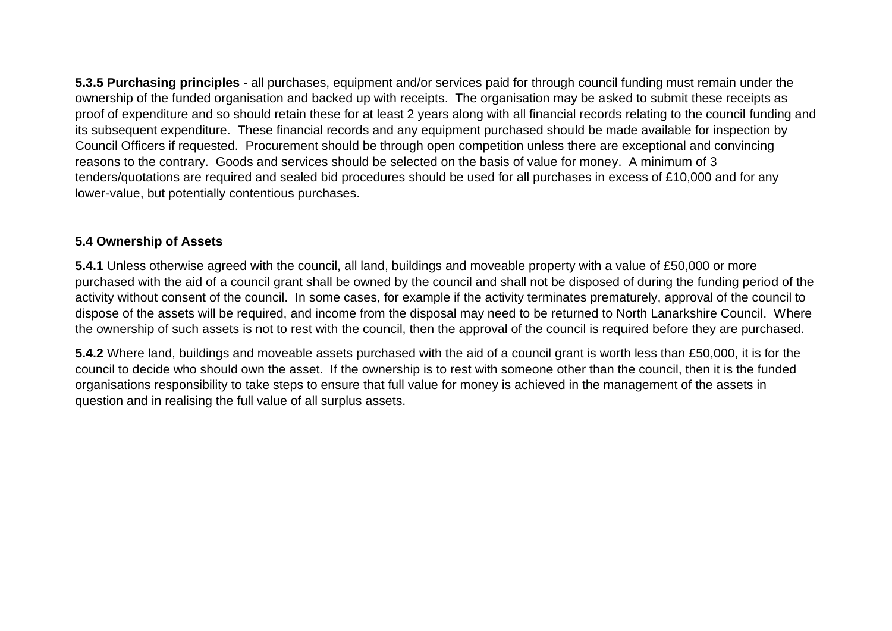**5.3.5 Purchasing principles** - all purchases, equipment and/or services paid for through council funding must remain under the ownership of the funded organisation and backed up with receipts. The organisation may be asked to submit these receipts as proof of expenditure and so should retain these for at least 2 years along with all financial records relating to the council funding and its subsequent expenditure. These financial records and any equipment purchased should be made available for inspection by Council Officers if requested. Procurement should be through open competition unless there are exceptional and convincing reasons to the contrary. Goods and services should be selected on the basis of value for money. A minimum of 3 tenders/quotations are required and sealed bid procedures should be used for all purchases in excess of £10,000 and for any lower-value, but potentially contentious purchases.

#### **5.4 Ownership of Assets**

**5.4.1** Unless otherwise agreed with the council, all land, buildings and moveable property with a value of £50,000 or more purchased with the aid of a council grant shall be owned by the council and shall not be disposed of during the funding period of the activity without consent of the council. In some cases, for example if the activity terminates prematurely, approval of the council to dispose of the assets will be required, and income from the disposal may need to be returned to North Lanarkshire Council. Where the ownership of such assets is not to rest with the council, then the approval of the council is required before they are purchased.

**5.4.2** Where land, buildings and moveable assets purchased with the aid of a council grant is worth less than £50,000, it is for the council to decide who should own the asset. If the ownership is to rest with someone other than the council, then it is the funded organisations responsibility to take steps to ensure that full value for money is achieved in the management of the assets in question and in realising the full value of all surplus assets.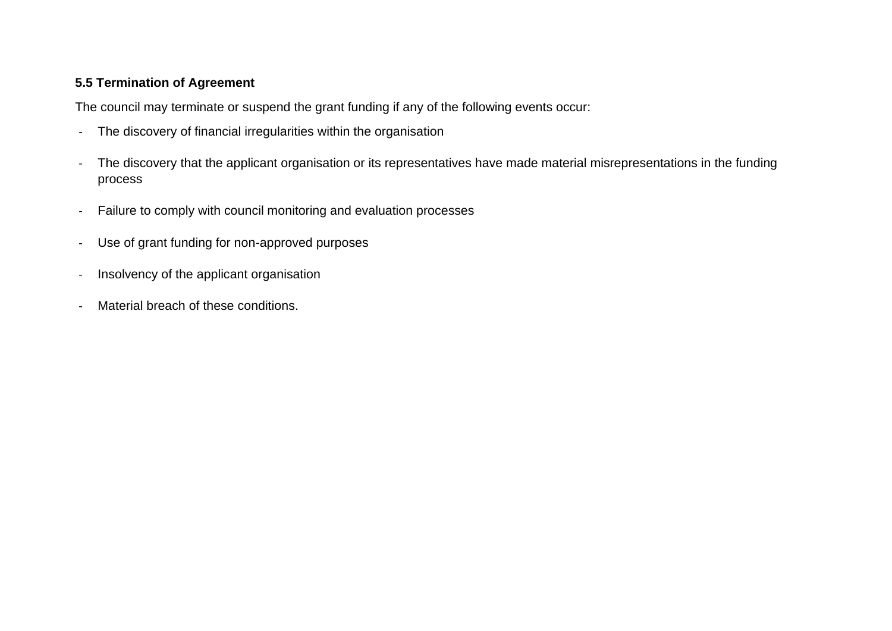#### **5.5 Termination of Agreement**

The council may terminate or suspend the grant funding if any of the following events occur:

- The discovery of financial irregularities within the organisation
- The discovery that the applicant organisation or its representatives have made material misrepresentations in the funding process
- Failure to comply with council monitoring and evaluation processes
- Use of grant funding for non-approved purposes
- Insolvency of the applicant organisation
- Material breach of these conditions.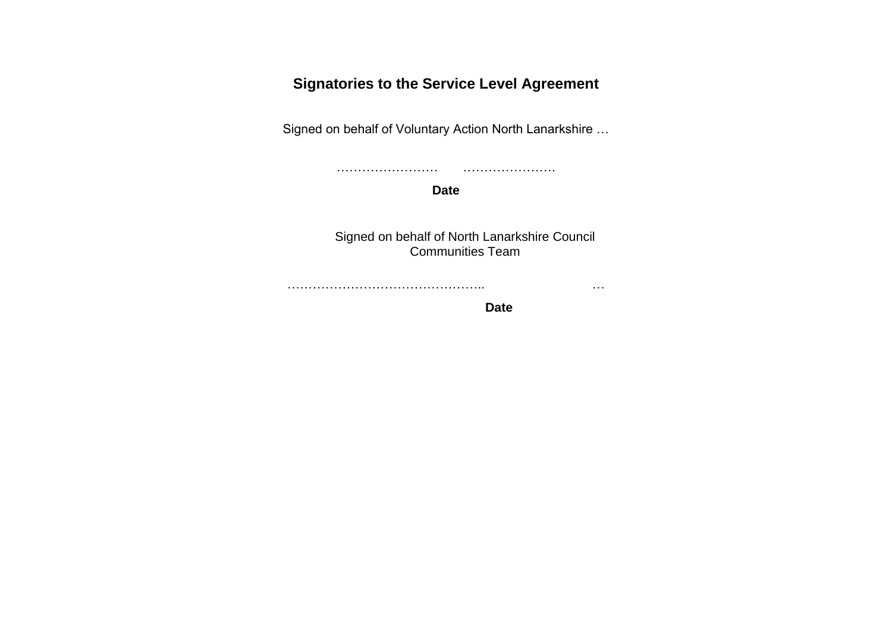# **Signatories to the Service Level Agreement**

Signed on behalf of Voluntary Action North Lanarkshire …

…………………… ………………….

**Date**

Signed on behalf of North Lanarkshire Council Communities Team

……………………………………….. …

 **Date**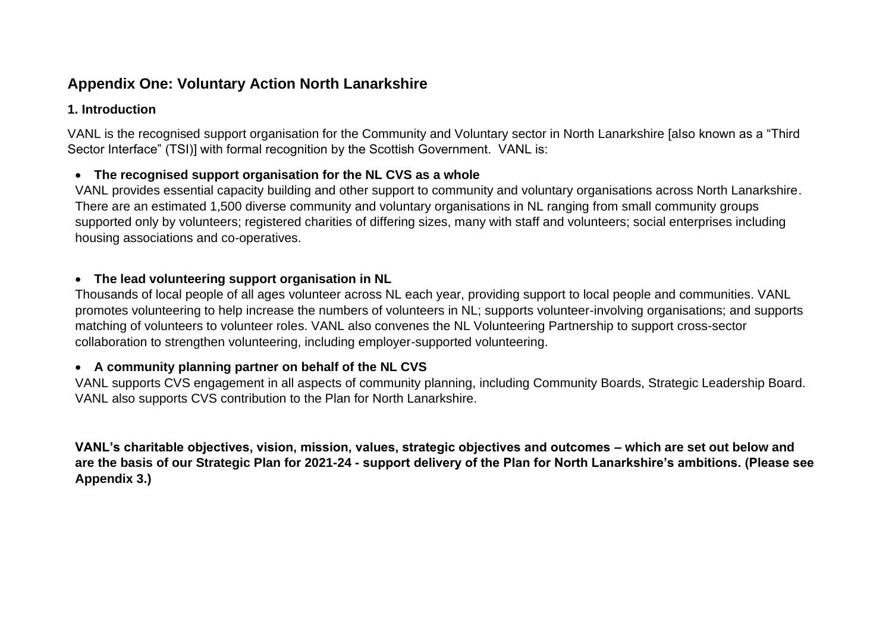# **Appendix One: Voluntary Action North Lanarkshire**

#### **1. Introduction**

VANL is the recognised support organisation for the Community and Voluntary sector in North Lanarkshire [also known as a "Third Sector Interface" (TSI)] with formal recognition by the Scottish Government. VANL is:

#### • **The recognised support organisation for the NL CVS as a whole**

VANL provides essential capacity building and other support to community and voluntary organisations across North Lanarkshire. There are an estimated 1,500 diverse community and voluntary organisations in NL ranging from small community groups supported only by volunteers; registered charities of differing sizes, many with staff and volunteers; social enterprises including housing associations and co-operatives.

#### • **The lead volunteering support organisation in NL**

Thousands of local people of all ages volunteer across NL each year, providing support to local people and communities. VANL promotes volunteering to help increase the numbers of volunteers in NL; supports volunteer-involving organisations; and supports matching of volunteers to volunteer roles. VANL also convenes the NL Volunteering Partnership to support cross-sector collaboration to strengthen volunteering, including employer-supported volunteering.

#### • **A community planning partner on behalf of the NL CVS**

VANL supports CVS engagement in all aspects of community planning, including Community Boards, Strategic Leadership Board. VANL also supports CVS contribution to the Plan for North Lanarkshire.

**VANL's charitable objectives, vision, mission, values, strategic objectives and outcomes – which are set out below and are the basis of our Strategic Plan for 2021-24 - support delivery of the Plan for North Lanarkshire's ambitions. (Please see Appendix 3.)**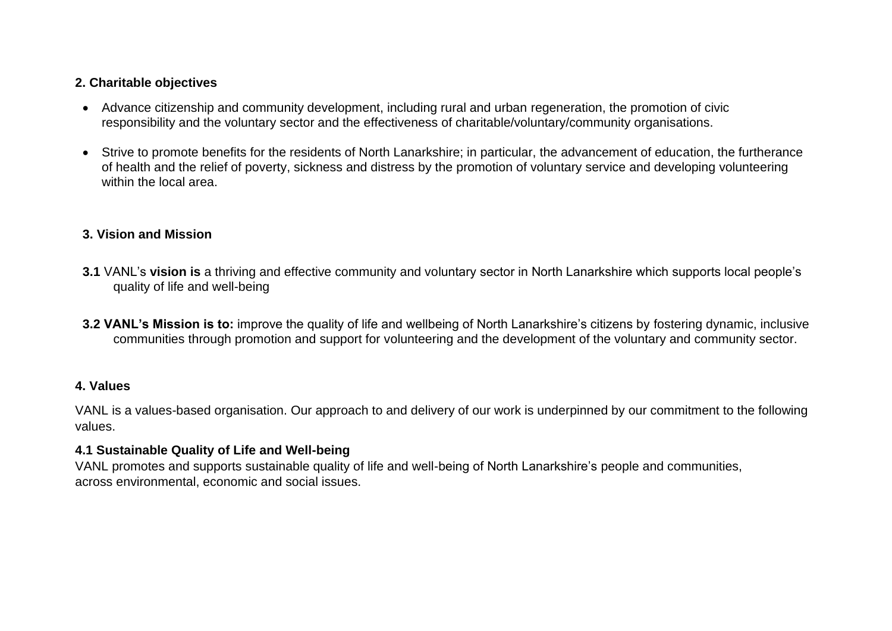#### **2. Charitable objectives**

- Advance citizenship and community development, including rural and urban regeneration, the promotion of civic responsibility and the voluntary sector and the effectiveness of charitable/voluntary/community organisations.
- Strive to promote benefits for the residents of North Lanarkshire; in particular, the advancement of education, the furtherance of health and the relief of poverty, sickness and distress by the promotion of voluntary service and developing volunteering within the local area.

#### **3. Vision and Mission**

- **3.1** VANL's **vision is** a thriving and effective community and voluntary sector in North Lanarkshire which supports local people's quality of life and well-being
- **3.2 VANL's Mission is to:** improve the quality of life and wellbeing of North Lanarkshire's citizens by fostering dynamic, inclusive communities through promotion and support for volunteering and the development of the voluntary and community sector.

#### **4. Values**

VANL is a values-based organisation. Our approach to and delivery of our work is underpinned by our commitment to the following values.

#### **4.1 Sustainable Quality of Life and Well-being**

VANL promotes and supports sustainable quality of life and well-being of North Lanarkshire's people and communities, across environmental, economic and social issues.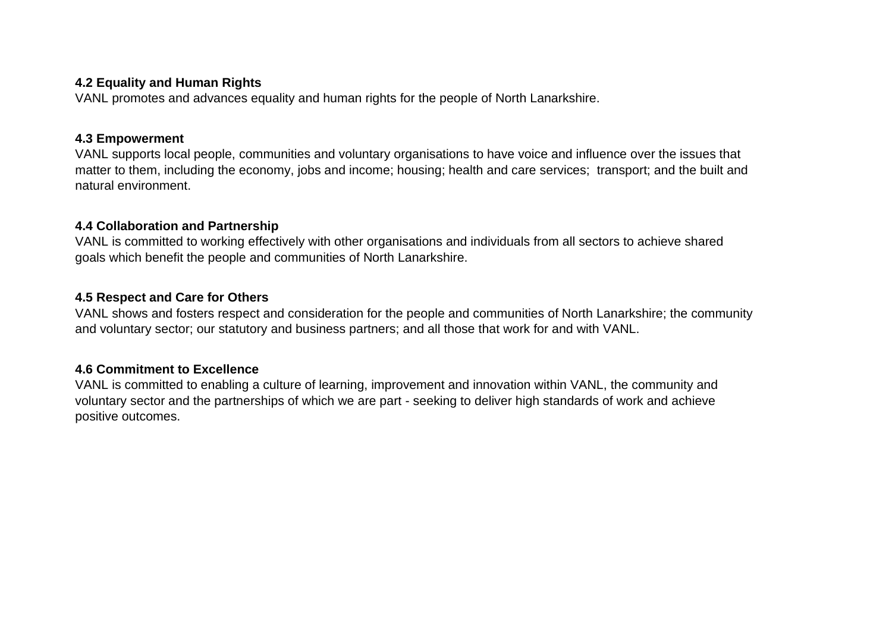#### **4.2 Equality and Human Rights**

VANL promotes and advances equality and human rights for the people of North Lanarkshire.

#### **4.3 Empowerment**

VANL supports local people, communities and voluntary organisations to have voice and influence over the issues that matter to them, including the economy, jobs and income; housing; health and care services; transport; and the built and natural environment.

#### **4.4 Collaboration and Partnership**

VANL is committed to working effectively with other organisations and individuals from all sectors to achieve shared goals which benefit the people and communities of North Lanarkshire.

#### **4.5 Respect and Care for Others**

VANL shows and fosters respect and consideration for the people and communities of North Lanarkshire; the community and voluntary sector; our statutory and business partners; and all those that work for and with VANL.

#### **4.6 Commitment to Excellence**

VANL is committed to enabling a culture of learning, improvement and innovation within VANL, the community and voluntary sector and the partnerships of which we are part - seeking to deliver high standards of work and achieve positive outcomes.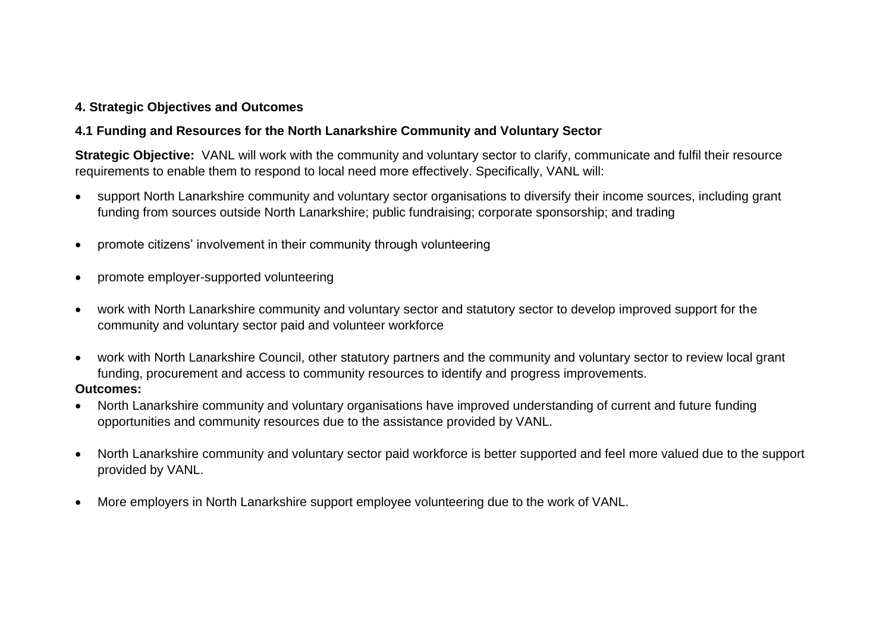#### **4. Strategic Objectives and Outcomes**

#### **4.1 Funding and Resources for the North Lanarkshire Community and Voluntary Sector**

**Strategic Objective:** VANL will work with the community and voluntary sector to clarify, communicate and fulfil their resource requirements to enable them to respond to local need more effectively. Specifically, VANL will:

- support North Lanarkshire community and voluntary sector organisations to diversify their income sources, including grant funding from sources outside North Lanarkshire; public fundraising; corporate sponsorship; and trading
- promote citizens' involvement in their community through volunteering
- promote employer-supported volunteering
- work with North Lanarkshire community and voluntary sector and statutory sector to develop improved support for the community and voluntary sector paid and volunteer workforce
- work with North Lanarkshire Council, other statutory partners and the community and voluntary sector to review local grant funding, procurement and access to community resources to identify and progress improvements. **Outcomes:**
- North Lanarkshire community and voluntary organisations have improved understanding of current and future funding opportunities and community resources due to the assistance provided by VANL.
- North Lanarkshire community and voluntary sector paid workforce is better supported and feel more valued due to the support provided by VANL.
- More employers in North Lanarkshire support employee volunteering due to the work of VANL.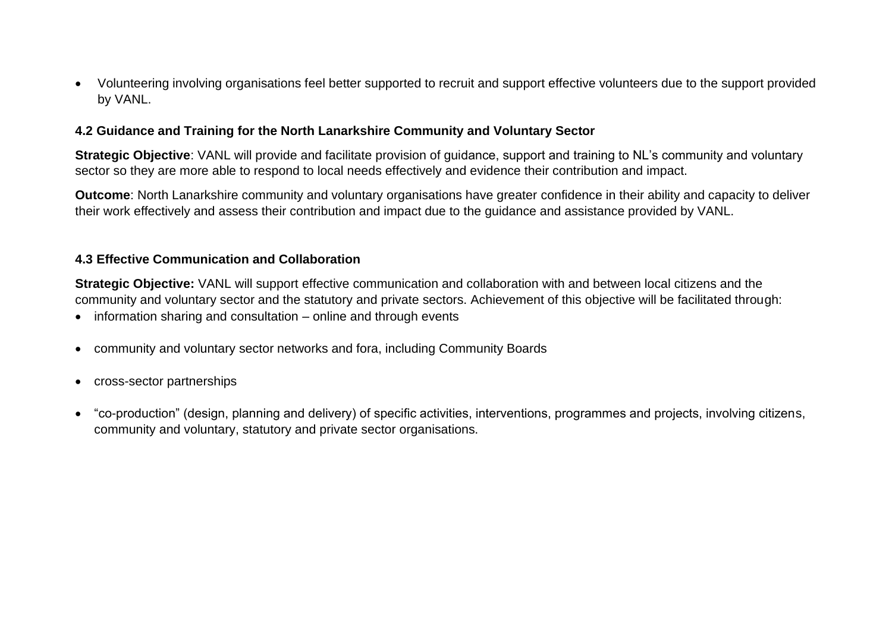• Volunteering involving organisations feel better supported to recruit and support effective volunteers due to the support provided by VANL.

#### **4.2 Guidance and Training for the North Lanarkshire Community and Voluntary Sector**

**Strategic Objective**: VANL will provide and facilitate provision of guidance, support and training to NL's community and voluntary sector so they are more able to respond to local needs effectively and evidence their contribution and impact.

**Outcome**: North Lanarkshire community and voluntary organisations have greater confidence in their ability and capacity to deliver their work effectively and assess their contribution and impact due to the guidance and assistance provided by VANL.

#### **4.3 Effective Communication and Collaboration**

**Strategic Objective:** VANL will support effective communication and collaboration with and between local citizens and the community and voluntary sector and the statutory and private sectors. Achievement of this objective will be facilitated through:

- information sharing and consultation online and through events
- community and voluntary sector networks and fora, including Community Boards
- cross-sector partnerships
- "co-production" (design, planning and delivery) of specific activities, interventions, programmes and projects, involving citizens, community and voluntary, statutory and private sector organisations.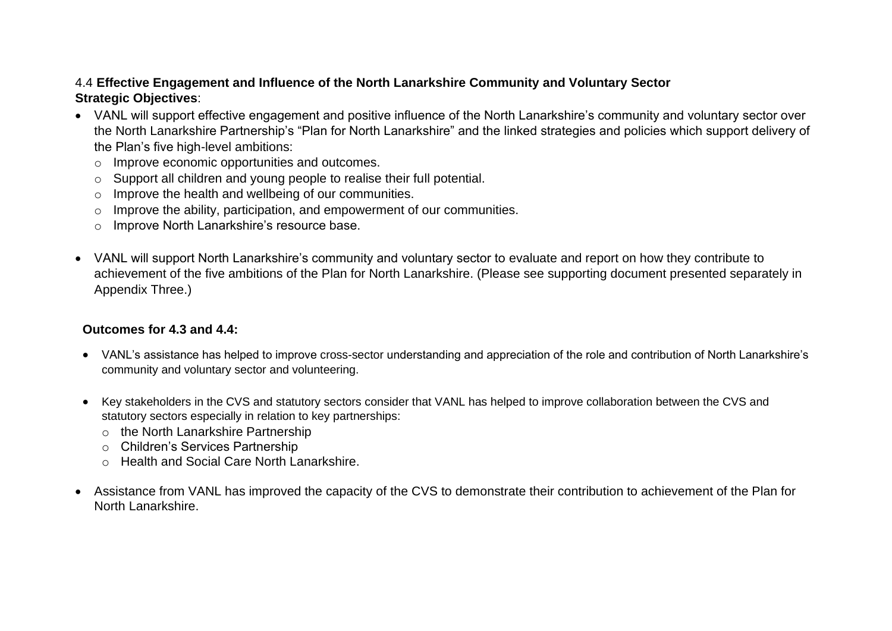#### 4.4 **Effective Engagement and Influence of the North Lanarkshire Community and Voluntary Sector Strategic Objectives**:

- VANL will support effective engagement and positive influence of the North Lanarkshire's community and voluntary sector over the North Lanarkshire Partnership's "Plan for North Lanarkshire" and the linked strategies and policies which support delivery of the Plan's five high-level ambitions:
	- o Improve economic opportunities and outcomes.
	- o Support all children and young people to realise their full potential.
	- o Improve the health and wellbeing of our communities.
	- o Improve the ability, participation, and empowerment of our communities.
	- o Improve North Lanarkshire's resource base.
- VANL will support North Lanarkshire's community and voluntary sector to evaluate and report on how they contribute to achievement of the five ambitions of the Plan for North Lanarkshire. (Please see supporting document presented separately in Appendix Three.)

#### **Outcomes for 4.3 and 4.4:**

- VANL's assistance has helped to improve cross-sector understanding and appreciation of the role and contribution of North Lanarkshire's community and voluntary sector and volunteering.
- Key stakeholders in the CVS and statutory sectors consider that VANL has helped to improve collaboration between the CVS and statutory sectors especially in relation to key partnerships:
	- o the North Lanarkshire Partnership
	- o Children's Services Partnership
	- o Health and Social Care North Lanarkshire.
- Assistance from VANL has improved the capacity of the CVS to demonstrate their contribution to achievement of the Plan for North Lanarkshire.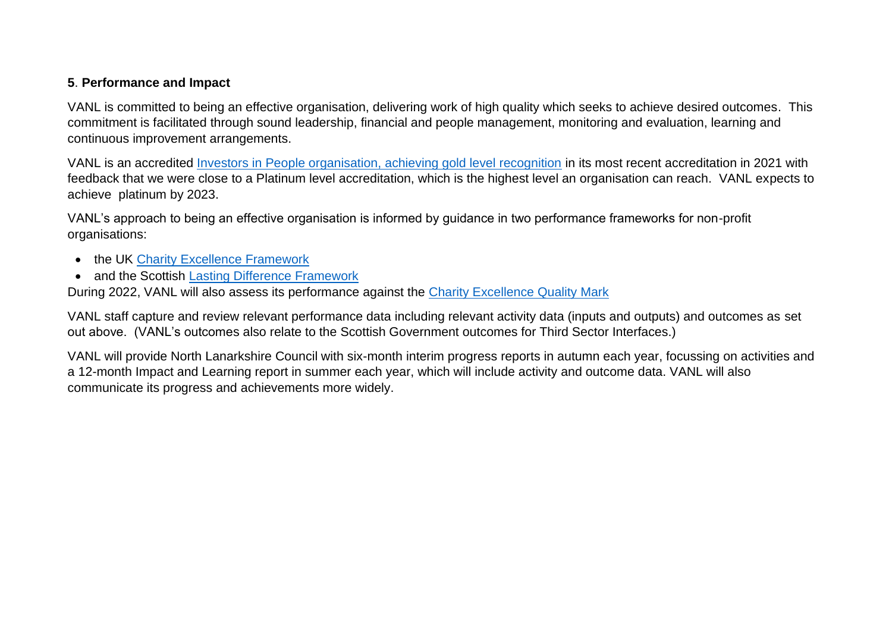#### **5**. **Performance and Impact**

VANL is committed to being an effective organisation, delivering work of high quality which seeks to achieve desired outcomes. This commitment is facilitated through sound leadership, financial and people management, monitoring and evaluation, learning and continuous improvement arrangements.

VANL is an accredited [Investors in People organisation, achieving gold level recognition](https://thisisremarkable.com/accreditation/investors-in-people/) in its most recent accreditation in 2021 with feedback that we were close to a Platinum level accreditation, which is the highest level an organisation can reach. VANL expects to achieve platinum by 2023.

VANL's approach to being an effective organisation is informed by guidance in two performance frameworks for non-profit organisations:

- the UK [Charity Excellence Framework](https://www.charityexcellence.co.uk/Home/QualityMark)
- and the Scottish [Lasting Difference Framework](https://www.thelastingdifference.com/)

During 2022, VANL will also assess its performance against the [Charity Excellence Quality Mark](https://www.charityexcellence.co.uk/Home/QualityMark)

VANL staff capture and review relevant performance data including relevant activity data (inputs and outputs) and outcomes as set out above. (VANL's outcomes also relate to the Scottish Government outcomes for Third Sector Interfaces.)

VANL will provide North Lanarkshire Council with six-month interim progress reports in autumn each year, focussing on activities and a 12-month Impact and Learning report in summer each year, which will include activity and outcome data. VANL will also communicate its progress and achievements more widely.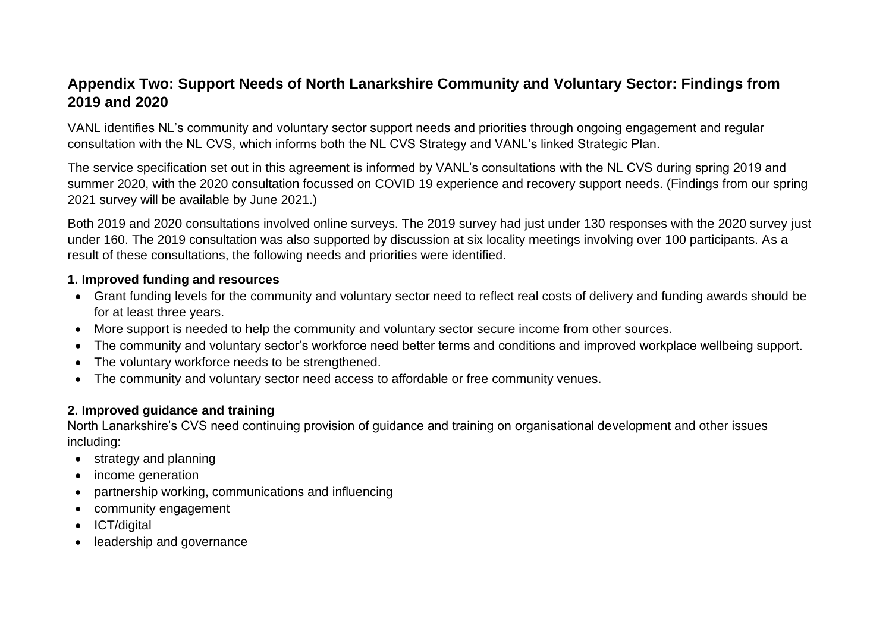# **Appendix Two: Support Needs of North Lanarkshire Community and Voluntary Sector: Findings from 2019 and 2020**

VANL identifies NL's community and voluntary sector support needs and priorities through ongoing engagement and regular consultation with the NL CVS, which informs both the NL CVS Strategy and VANL's linked Strategic Plan.

The service specification set out in this agreement is informed by VANL's consultations with the NL CVS during spring 2019 and summer 2020, with the 2020 consultation focussed on COVID 19 experience and recovery support needs. (Findings from our spring 2021 survey will be available by June 2021.)

Both 2019 and 2020 consultations involved online surveys. The 2019 survey had just under 130 responses with the 2020 survey just under 160. The 2019 consultation was also supported by discussion at six locality meetings involving over 100 participants. As a result of these consultations, the following needs and priorities were identified.

#### **1. Improved funding and resources**

- Grant funding levels for the community and voluntary sector need to reflect real costs of delivery and funding awards should be for at least three years.
- More support is needed to help the community and voluntary sector secure income from other sources.
- The community and voluntary sector's workforce need better terms and conditions and improved workplace wellbeing support.
- The voluntary workforce needs to be strengthened.
- The community and voluntary sector need access to affordable or free community venues.

#### **2. Improved guidance and training**

 North Lanarkshire's CVS need continuing provision of guidance and training on organisational development and other issues including:

- strategy and planning
- income generation
- partnership working, communications and influencing
- community engagement
- ICT/digital
- leadership and governance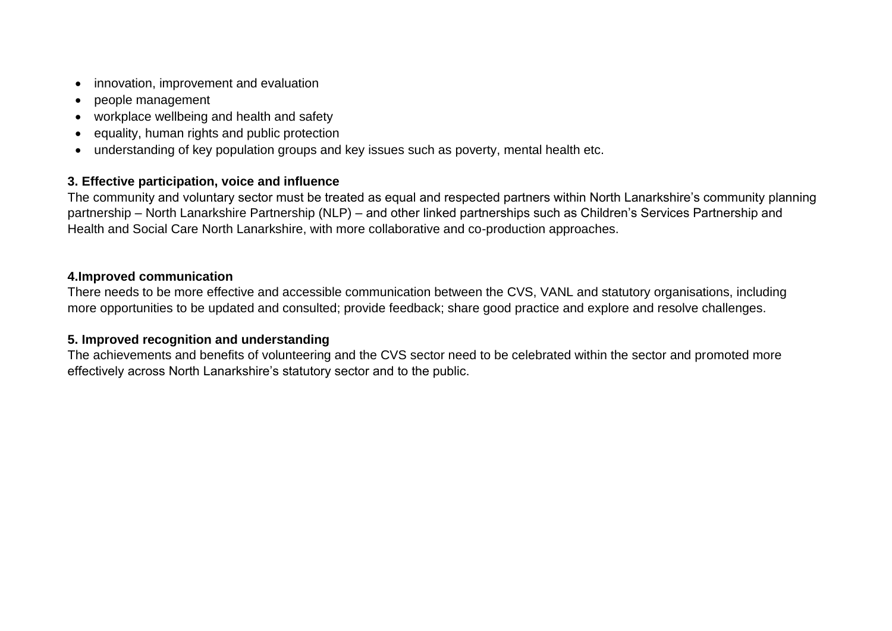- innovation, improvement and evaluation
- people management
- workplace wellbeing and health and safety
- equality, human rights and public protection
- understanding of key population groups and key issues such as poverty, mental health etc.

#### **3. Effective participation, voice and influence**

The community and voluntary sector must be treated as equal and respected partners within North Lanarkshire's community planning partnership – North Lanarkshire Partnership (NLP) – and other linked partnerships such as Children's Services Partnership and Health and Social Care North Lanarkshire, with more collaborative and co-production approaches.

#### **4.Improved communication**

There needs to be more effective and accessible communication between the CVS, VANL and statutory organisations, including more opportunities to be updated and consulted; provide feedback; share good practice and explore and resolve challenges.

#### **5. Improved recognition and understanding**

The achievements and benefits of volunteering and the CVS sector need to be celebrated within the sector and promoted more effectively across North Lanarkshire's statutory sector and to the public.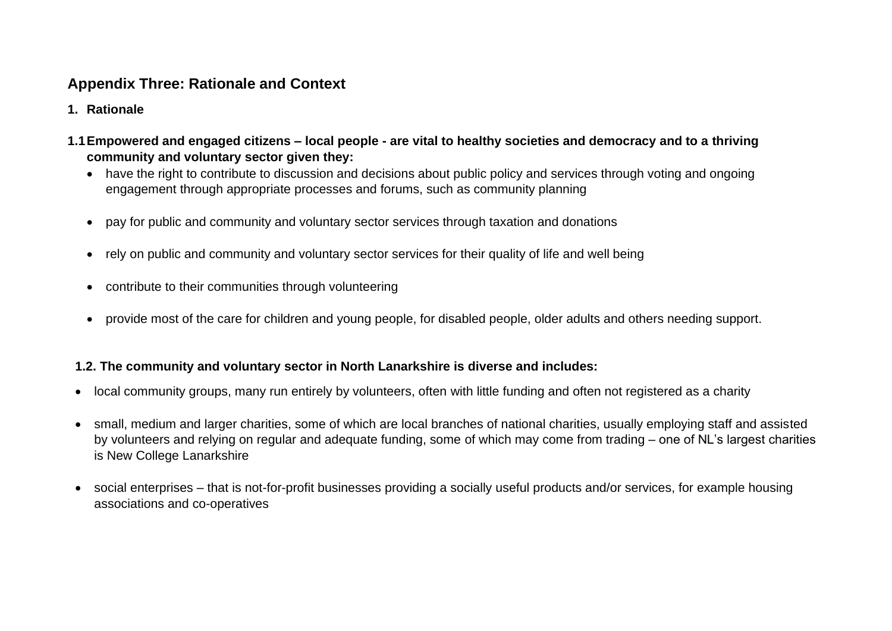# **Appendix Three: Rationale and Context**

- **1. Rationale**
- **1.1Empowered and engaged citizens – local people - are vital to healthy societies and democracy and to a thriving community and voluntary sector given they:**
	- have the right to contribute to discussion and decisions about public policy and services through voting and ongoing engagement through appropriate processes and forums, such as community planning
	- pay for public and community and voluntary sector services through taxation and donations
	- rely on public and community and voluntary sector services for their quality of life and well being
	- contribute to their communities through volunteering
	- provide most of the care for children and young people, for disabled people, older adults and others needing support.

#### **1.2. The community and voluntary sector in North Lanarkshire is diverse and includes:**

- local community groups, many run entirely by volunteers, often with little funding and often not registered as a charity
- small, medium and larger charities, some of which are local branches of national charities, usually employing staff and assisted by volunteers and relying on regular and adequate funding, some of which may come from trading – one of NL's largest charities is New College Lanarkshire
- social enterprises that is not-for-profit businesses providing a socially useful products and/or services, for example housing associations and co-operatives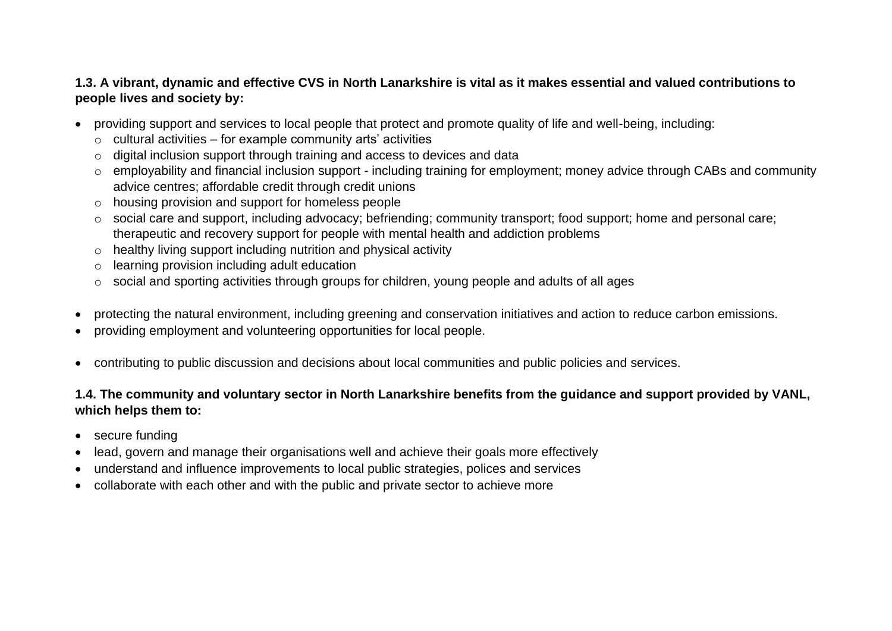#### **1.3. A vibrant, dynamic and effective CVS in North Lanarkshire is vital as it makes essential and valued contributions to people lives and society by:**

- providing support and services to local people that protect and promote quality of life and well-being, including:
	- $\circ$  cultural activities for example community arts' activities
	- o digital inclusion support through training and access to devices and data
	- o employability and financial inclusion support including training for employment; money advice through CABs and community advice centres; affordable credit through credit unions
	- o housing provision and support for homeless people
	- o social care and support, including advocacy; befriending; community transport; food support; home and personal care; therapeutic and recovery support for people with mental health and addiction problems
	- o healthy living support including nutrition and physical activity
	- o learning provision including adult education
	- o social and sporting activities through groups for children, young people and adults of all ages
- protecting the natural environment, including greening and conservation initiatives and action to reduce carbon emissions.
- providing employment and volunteering opportunities for local people.
- contributing to public discussion and decisions about local communities and public policies and services.

#### **1.4. The community and voluntary sector in North Lanarkshire benefits from the guidance and support provided by VANL, which helps them to:**

- secure funding
- lead, govern and manage their organisations well and achieve their goals more effectively
- understand and influence improvements to local public strategies, polices and services
- collaborate with each other and with the public and private sector to achieve more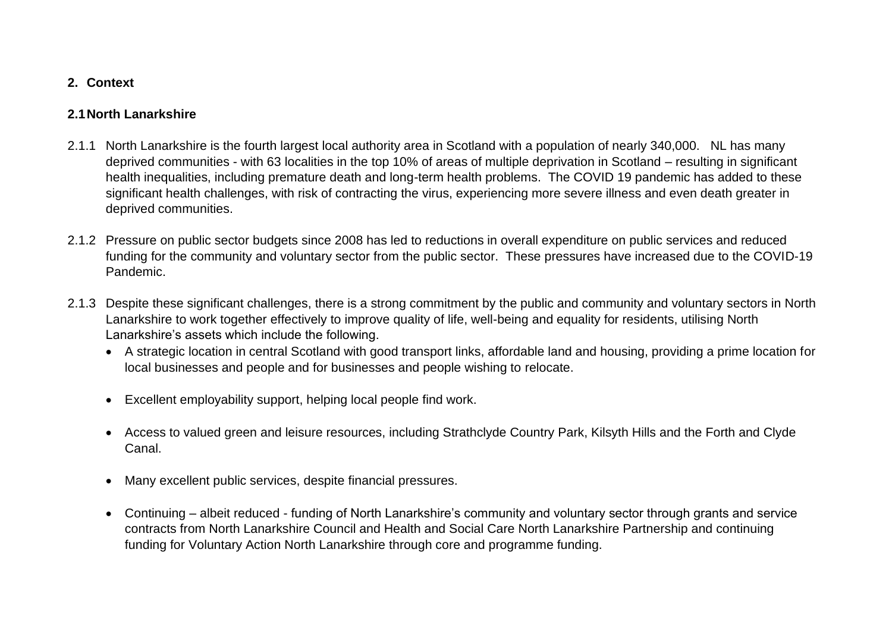#### **2. Context**

#### **2.1North Lanarkshire**

- 2.1.1 North Lanarkshire is the fourth largest local authority area in Scotland with a population of nearly 340,000. NL has many deprived communities - with 63 localities in the top 10% of areas of multiple deprivation in Scotland – resulting in significant health inequalities, including premature death and long-term health problems. The COVID 19 pandemic has added to these significant health challenges, with risk of contracting the virus, experiencing more severe illness and even death greater in deprived communities.
- 2.1.2 Pressure on public sector budgets since 2008 has led to reductions in overall expenditure on public services and reduced funding for the community and voluntary sector from the public sector. These pressures have increased due to the COVID-19 Pandemic.
- 2.1.3 Despite these significant challenges, there is a strong commitment by the public and community and voluntary sectors in North Lanarkshire to work together effectively to improve quality of life, well-being and equality for residents, utilising North Lanarkshire's assets which include the following.
	- A strategic location in central Scotland with good transport links, affordable land and housing, providing a prime location for local businesses and people and for businesses and people wishing to relocate.
	- Excellent employability support, helping local people find work.
	- Access to valued green and leisure resources, including Strathclyde Country Park, Kilsyth Hills and the Forth and Clyde Canal.
	- Many excellent public services, despite financial pressures.
	- Continuing albeit reduced funding of North Lanarkshire's community and voluntary sector through grants and service contracts from North Lanarkshire Council and Health and Social Care North Lanarkshire Partnership and continuing funding for Voluntary Action North Lanarkshire through core and programme funding.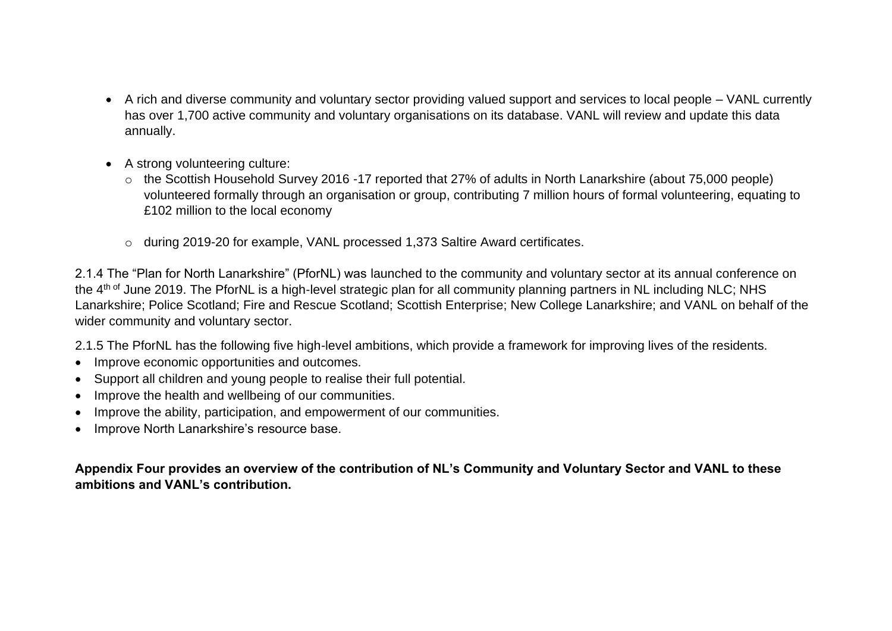- A rich and diverse community and voluntary sector providing valued support and services to local people VANL currently has over 1,700 active community and voluntary organisations on its database. VANL will review and update this data annually.
- A strong volunteering culture:
	- o the Scottish Household Survey 2016 -17 reported that 27% of adults in North Lanarkshire (about 75,000 people) volunteered formally through an organisation or group, contributing 7 million hours of formal volunteering, equating to £102 million to the local economy
	- o during 2019-20 for example, VANL processed 1,373 Saltire Award certificates.

2.1.4 The "Plan for North Lanarkshire" (PforNL) was launched to the community and voluntary sector at its annual conference on the 4<sup>th of</sup> June 2019. The PforNL is a high-level strategic plan for all community planning partners in NL including NLC; NHS Lanarkshire; Police Scotland; Fire and Rescue Scotland; Scottish Enterprise; New College Lanarkshire; and VANL on behalf of the wider community and voluntary sector.

2.1.5 The PforNL has the following five high-level ambitions, which provide a framework for improving lives of the residents.

- Improve economic opportunities and outcomes.
- Support all children and young people to realise their full potential.
- Improve the health and wellbeing of our communities.
- Improve the ability, participation, and empowerment of our communities.
- Improve North Lanarkshire's resource base.

**Appendix Four provides an overview of the contribution of NL's Community and Voluntary Sector and VANL to these ambitions and VANL's contribution.**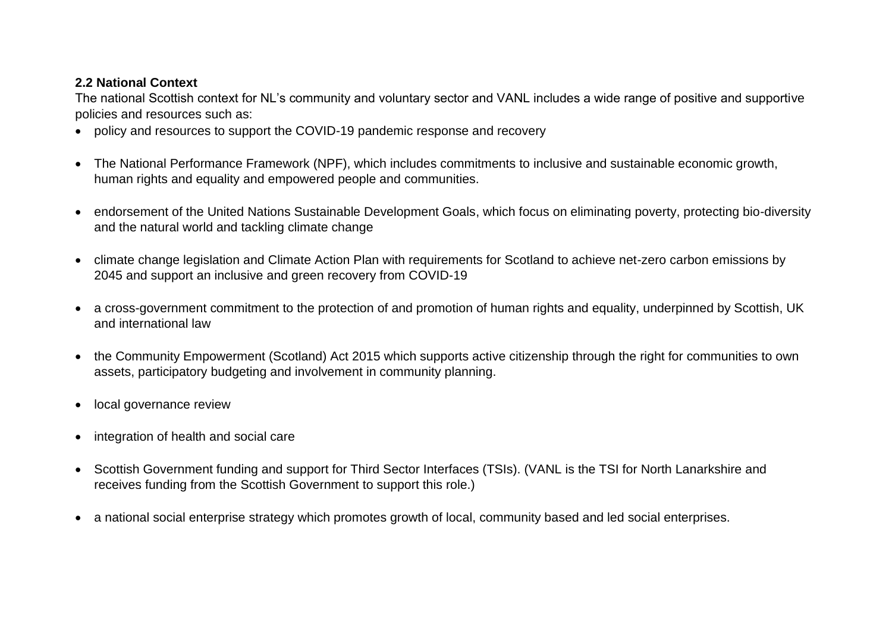#### **2.2 National Context**

The national Scottish context for NL's community and voluntary sector and VANL includes a wide range of positive and supportive policies and resources such as:

- policy and resources to support the COVID-19 pandemic response and recovery
- The National Performance Framework (NPF), which includes commitments to inclusive and sustainable economic growth, human rights and equality and empowered people and communities.
- endorsement of the United Nations Sustainable Development Goals, which focus on eliminating poverty, protecting bio-diversity and the natural world and tackling climate change
- climate change legislation and Climate Action Plan with requirements for Scotland to achieve net-zero carbon emissions by 2045 and support an inclusive and green recovery from COVID-19
- a cross-government commitment to the protection of and promotion of human rights and equality, underpinned by Scottish, UK and international law
- the Community Empowerment (Scotland) Act 2015 which supports active citizenship through the right for communities to own assets, participatory budgeting and involvement in community planning.
- local governance review
- integration of health and social care
- Scottish Government funding and support for Third Sector Interfaces (TSIs). (VANL is the TSI for North Lanarkshire and receives funding from the Scottish Government to support this role.)
- a national social enterprise strategy which promotes growth of local, community based and led social enterprises.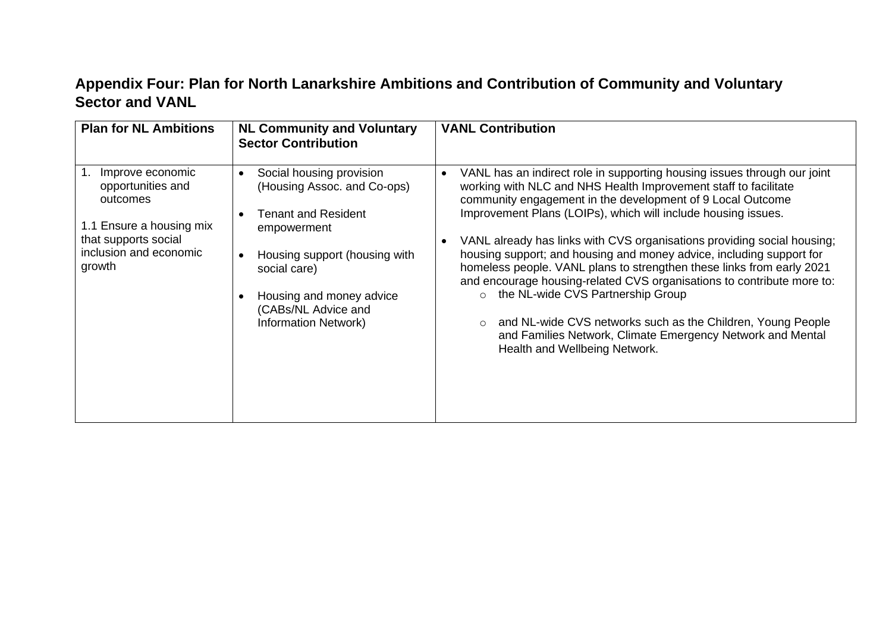# **Appendix Four: Plan for North Lanarkshire Ambitions and Contribution of Community and Voluntary Sector and VANL**

| <b>Plan for NL Ambitions</b>                                                                                                              | <b>NL Community and Voluntary</b><br><b>Sector Contribution</b>                                                                                                                                                                                      | <b>VANL Contribution</b>                                                                                                                                                                                                                                                                                                                                                                                                                                                                                                                                                                                                                                                                                                                                                                         |
|-------------------------------------------------------------------------------------------------------------------------------------------|------------------------------------------------------------------------------------------------------------------------------------------------------------------------------------------------------------------------------------------------------|--------------------------------------------------------------------------------------------------------------------------------------------------------------------------------------------------------------------------------------------------------------------------------------------------------------------------------------------------------------------------------------------------------------------------------------------------------------------------------------------------------------------------------------------------------------------------------------------------------------------------------------------------------------------------------------------------------------------------------------------------------------------------------------------------|
| Improve economic<br>opportunities and<br>outcomes<br>1.1 Ensure a housing mix<br>that supports social<br>inclusion and economic<br>growth | Social housing provision<br>$\bullet$<br>(Housing Assoc. and Co-ops)<br><b>Tenant and Resident</b><br>empowerment<br>Housing support (housing with<br>social care)<br>Housing and money advice<br>(CABs/NL Advice and<br><b>Information Network)</b> | VANL has an indirect role in supporting housing issues through our joint<br>working with NLC and NHS Health Improvement staff to facilitate<br>community engagement in the development of 9 Local Outcome<br>Improvement Plans (LOIPs), which will include housing issues.<br>VANL already has links with CVS organisations providing social housing;<br>housing support; and housing and money advice, including support for<br>homeless people. VANL plans to strengthen these links from early 2021<br>and encourage housing-related CVS organisations to contribute more to:<br>o the NL-wide CVS Partnership Group<br>and NL-wide CVS networks such as the Children, Young People<br>$\circ$<br>and Families Network, Climate Emergency Network and Mental<br>Health and Wellbeing Network. |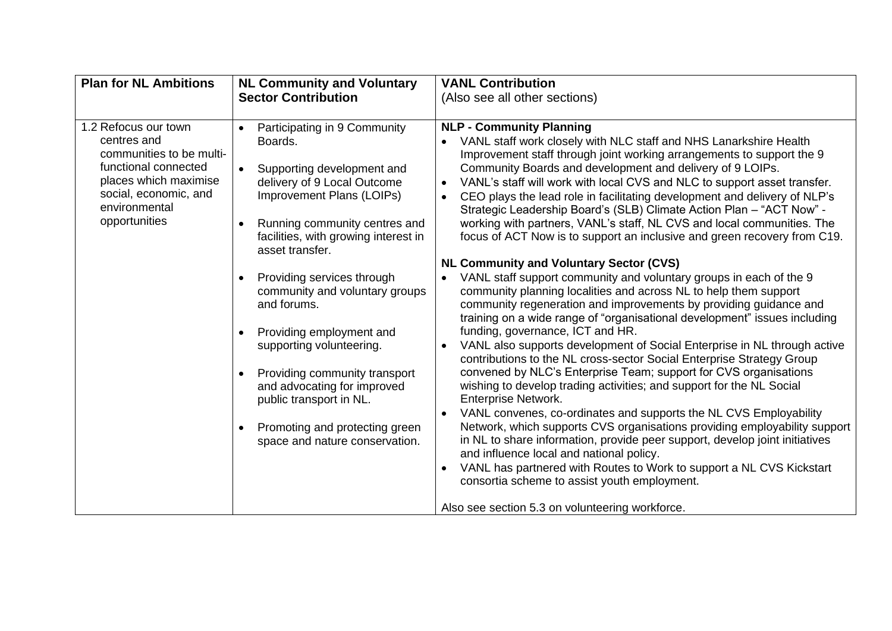| <b>Plan for NL Ambitions</b>                                                                                                                                                | <b>NL Community and Voluntary</b>                                                                                                                                                                                                                                                                                                                                                                                                                                                                                                                                                       | <b>VANL Contribution</b>                                                                                                                                                                                                                                                                                                                                                                                                                                                                                                                                                                                                                                                                                                                                                                                                                                                                                                                                                                                                                                                                                                                                                                                                                                                                                                                                                                                                                                                                                                                                                                                                                                                                                |
|-----------------------------------------------------------------------------------------------------------------------------------------------------------------------------|-----------------------------------------------------------------------------------------------------------------------------------------------------------------------------------------------------------------------------------------------------------------------------------------------------------------------------------------------------------------------------------------------------------------------------------------------------------------------------------------------------------------------------------------------------------------------------------------|---------------------------------------------------------------------------------------------------------------------------------------------------------------------------------------------------------------------------------------------------------------------------------------------------------------------------------------------------------------------------------------------------------------------------------------------------------------------------------------------------------------------------------------------------------------------------------------------------------------------------------------------------------------------------------------------------------------------------------------------------------------------------------------------------------------------------------------------------------------------------------------------------------------------------------------------------------------------------------------------------------------------------------------------------------------------------------------------------------------------------------------------------------------------------------------------------------------------------------------------------------------------------------------------------------------------------------------------------------------------------------------------------------------------------------------------------------------------------------------------------------------------------------------------------------------------------------------------------------------------------------------------------------------------------------------------------------|
|                                                                                                                                                                             | <b>Sector Contribution</b>                                                                                                                                                                                                                                                                                                                                                                                                                                                                                                                                                              | (Also see all other sections)                                                                                                                                                                                                                                                                                                                                                                                                                                                                                                                                                                                                                                                                                                                                                                                                                                                                                                                                                                                                                                                                                                                                                                                                                                                                                                                                                                                                                                                                                                                                                                                                                                                                           |
| 1.2 Refocus our town<br>centres and<br>communities to be multi-<br>functional connected<br>places which maximise<br>social, economic, and<br>environmental<br>opportunities | Participating in 9 Community<br>Boards.<br>$\bullet$<br>Supporting development and<br>delivery of 9 Local Outcome<br>Improvement Plans (LOIPs)<br>Running community centres and<br>facilities, with growing interest in<br>asset transfer.<br>Providing services through<br>$\bullet$<br>community and voluntary groups<br>and forums.<br>Providing employment and<br>$\bullet$<br>supporting volunteering.<br>Providing community transport<br>$\bullet$<br>and advocating for improved<br>public transport in NL.<br>Promoting and protecting green<br>space and nature conservation. | <b>NLP - Community Planning</b><br>VANL staff work closely with NLC staff and NHS Lanarkshire Health<br>Improvement staff through joint working arrangements to support the 9<br>Community Boards and development and delivery of 9 LOIPs.<br>VANL's staff will work with local CVS and NLC to support asset transfer.<br>CEO plays the lead role in facilitating development and delivery of NLP's<br>Strategic Leadership Board's (SLB) Climate Action Plan - "ACT Now" -<br>working with partners, VANL's staff, NL CVS and local communities. The<br>focus of ACT Now is to support an inclusive and green recovery from C19.<br><b>NL Community and Voluntary Sector (CVS)</b><br>VANL staff support community and voluntary groups in each of the 9<br>community planning localities and across NL to help them support<br>community regeneration and improvements by providing guidance and<br>training on a wide range of "organisational development" issues including<br>funding, governance, ICT and HR.<br>VANL also supports development of Social Enterprise in NL through active<br>contributions to the NL cross-sector Social Enterprise Strategy Group<br>convened by NLC's Enterprise Team; support for CVS organisations<br>wishing to develop trading activities; and support for the NL Social<br><b>Enterprise Network.</b><br>VANL convenes, co-ordinates and supports the NL CVS Employability<br>Network, which supports CVS organisations providing employability support<br>in NL to share information, provide peer support, develop joint initiatives<br>and influence local and national policy.<br>VANL has partnered with Routes to Work to support a NL CVS Kickstart |
|                                                                                                                                                                             |                                                                                                                                                                                                                                                                                                                                                                                                                                                                                                                                                                                         | consortia scheme to assist youth employment.                                                                                                                                                                                                                                                                                                                                                                                                                                                                                                                                                                                                                                                                                                                                                                                                                                                                                                                                                                                                                                                                                                                                                                                                                                                                                                                                                                                                                                                                                                                                                                                                                                                            |
|                                                                                                                                                                             |                                                                                                                                                                                                                                                                                                                                                                                                                                                                                                                                                                                         | Also see section 5.3 on volunteering workforce.                                                                                                                                                                                                                                                                                                                                                                                                                                                                                                                                                                                                                                                                                                                                                                                                                                                                                                                                                                                                                                                                                                                                                                                                                                                                                                                                                                                                                                                                                                                                                                                                                                                         |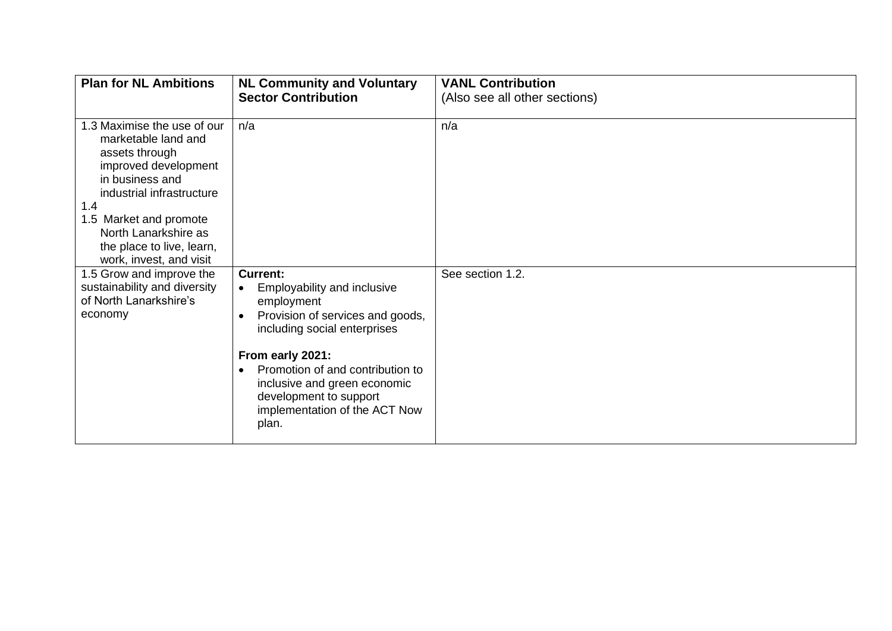| <b>Plan for NL Ambitions</b>                                                                                                                                                                                                                                  | <b>NL Community and Voluntary</b><br><b>Sector Contribution</b>                                                                                                                                                                                                                                                        | <b>VANL Contribution</b><br>(Also see all other sections) |
|---------------------------------------------------------------------------------------------------------------------------------------------------------------------------------------------------------------------------------------------------------------|------------------------------------------------------------------------------------------------------------------------------------------------------------------------------------------------------------------------------------------------------------------------------------------------------------------------|-----------------------------------------------------------|
| 1.3 Maximise the use of our<br>marketable land and<br>assets through<br>improved development<br>in business and<br>industrial infrastructure<br>1.4<br>1.5 Market and promote<br>North Lanarkshire as<br>the place to live, learn,<br>work, invest, and visit | n/a                                                                                                                                                                                                                                                                                                                    | n/a                                                       |
| 1.5 Grow and improve the<br>sustainability and diversity<br>of North Lanarkshire's<br>economy                                                                                                                                                                 | <b>Current:</b><br>Employability and inclusive<br>$\bullet$<br>employment<br>Provision of services and goods,<br>including social enterprises<br>From early 2021:<br>Promotion of and contribution to<br>$\bullet$<br>inclusive and green economic<br>development to support<br>implementation of the ACT Now<br>plan. | See section 1.2.                                          |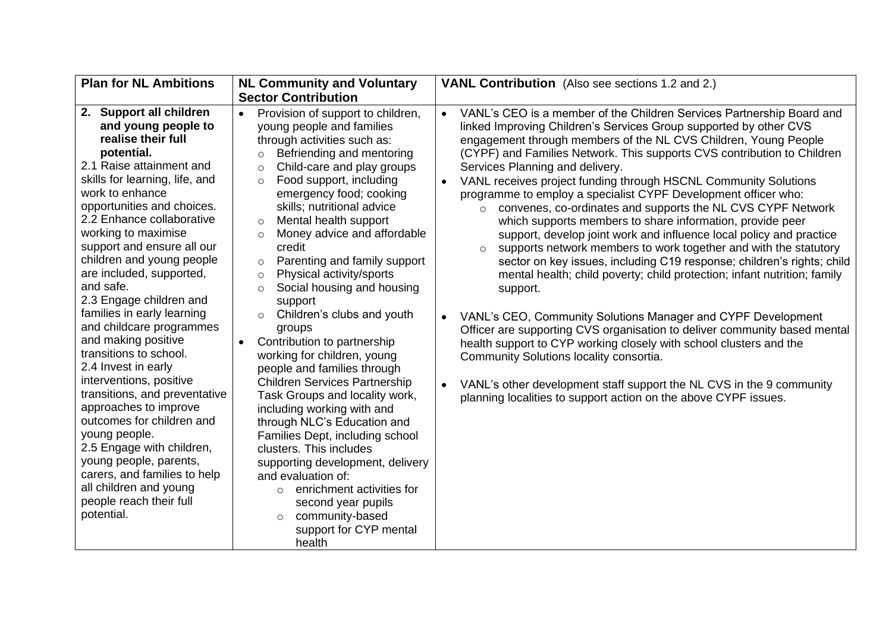| <b>Plan for NL Ambitions</b>                                                                                                                                                                                                                                                                                                                                                                                                                                                                                                                                                                                                                                                                                     | <b>NL Community and Voluntary</b>                                                                                                                                                                                                                                                                                                                                                                                                                                                                                                                                                                                                                                                                                                                                                                                                                                                                                  | <b>VANL Contribution</b> (Also see sections 1.2 and 2.)                                                                                                                                                                                                                                                                                                                                                                                                                                                                                                                                                                                                                                                                                                                                                                                                                                                                                                                                                                                                                                                                                                                                                                                                                                                                                                                                      |
|------------------------------------------------------------------------------------------------------------------------------------------------------------------------------------------------------------------------------------------------------------------------------------------------------------------------------------------------------------------------------------------------------------------------------------------------------------------------------------------------------------------------------------------------------------------------------------------------------------------------------------------------------------------------------------------------------------------|--------------------------------------------------------------------------------------------------------------------------------------------------------------------------------------------------------------------------------------------------------------------------------------------------------------------------------------------------------------------------------------------------------------------------------------------------------------------------------------------------------------------------------------------------------------------------------------------------------------------------------------------------------------------------------------------------------------------------------------------------------------------------------------------------------------------------------------------------------------------------------------------------------------------|----------------------------------------------------------------------------------------------------------------------------------------------------------------------------------------------------------------------------------------------------------------------------------------------------------------------------------------------------------------------------------------------------------------------------------------------------------------------------------------------------------------------------------------------------------------------------------------------------------------------------------------------------------------------------------------------------------------------------------------------------------------------------------------------------------------------------------------------------------------------------------------------------------------------------------------------------------------------------------------------------------------------------------------------------------------------------------------------------------------------------------------------------------------------------------------------------------------------------------------------------------------------------------------------------------------------------------------------------------------------------------------------|
|                                                                                                                                                                                                                                                                                                                                                                                                                                                                                                                                                                                                                                                                                                                  | <b>Sector Contribution</b>                                                                                                                                                                                                                                                                                                                                                                                                                                                                                                                                                                                                                                                                                                                                                                                                                                                                                         |                                                                                                                                                                                                                                                                                                                                                                                                                                                                                                                                                                                                                                                                                                                                                                                                                                                                                                                                                                                                                                                                                                                                                                                                                                                                                                                                                                                              |
| 2. Support all children<br>and young people to<br>realise their full<br>potential.<br>2.1 Raise attainment and<br>skills for learning, life, and<br>work to enhance<br>opportunities and choices.<br>2.2 Enhance collaborative<br>working to maximise<br>support and ensure all our<br>children and young people<br>are included, supported,<br>and safe.<br>2.3 Engage children and<br>families in early learning<br>and childcare programmes<br>and making positive<br>transitions to school.<br>2.4 Invest in early<br>interventions, positive<br>transitions, and preventative<br>approaches to improve<br>outcomes for children and<br>young people.<br>2.5 Engage with children,<br>young people, parents, | Provision of support to children,<br>$\bullet$<br>young people and families<br>through activities such as:<br>Befriending and mentoring<br>$\circ$<br>Child-care and play groups<br>$\circ$<br>Food support, including<br>$\circ$<br>emergency food; cooking<br>skills; nutritional advice<br>Mental health support<br>$\circ$<br>Money advice and affordable<br>$\Omega$<br>credit<br>Parenting and family support<br>$\circ$<br>Physical activity/sports<br>$\circ$<br>Social housing and housing<br>$\circ$<br>support<br>Children's clubs and youth<br>$\circ$<br>groups<br>Contribution to partnership<br>working for children, young<br>people and families through<br><b>Children Services Partnership</b><br>Task Groups and locality work,<br>including working with and<br>through NLC's Education and<br>Families Dept, including school<br>clusters. This includes<br>supporting development, delivery | VANL's CEO is a member of the Children Services Partnership Board and<br>$\bullet$<br>linked Improving Children's Services Group supported by other CVS<br>engagement through members of the NL CVS Children, Young People<br>(CYPF) and Families Network. This supports CVS contribution to Children<br>Services Planning and delivery.<br>VANL receives project funding through HSCNL Community Solutions<br>$\bullet$<br>programme to employ a specialist CYPF Development officer who:<br>convenes, co-ordinates and supports the NL CVS CYPF Network<br>$\circ$<br>which supports members to share information, provide peer<br>support, develop joint work and influence local policy and practice<br>supports network members to work together and with the statutory<br>$\circ$<br>sector on key issues, including C19 response; children's rights; child<br>mental health; child poverty; child protection; infant nutrition; family<br>support.<br>VANL's CEO, Community Solutions Manager and CYPF Development<br>$\bullet$<br>Officer are supporting CVS organisation to deliver community based mental<br>health support to CYP working closely with school clusters and the<br>Community Solutions locality consortia.<br>VANL's other development staff support the NL CVS in the 9 community<br>$\bullet$<br>planning localities to support action on the above CYPF issues. |
| carers, and families to help<br>all children and young                                                                                                                                                                                                                                                                                                                                                                                                                                                                                                                                                                                                                                                           | and evaluation of:                                                                                                                                                                                                                                                                                                                                                                                                                                                                                                                                                                                                                                                                                                                                                                                                                                                                                                 |                                                                                                                                                                                                                                                                                                                                                                                                                                                                                                                                                                                                                                                                                                                                                                                                                                                                                                                                                                                                                                                                                                                                                                                                                                                                                                                                                                                              |
| people reach their full                                                                                                                                                                                                                                                                                                                                                                                                                                                                                                                                                                                                                                                                                          | enrichment activities for<br>$\circ$<br>second year pupils                                                                                                                                                                                                                                                                                                                                                                                                                                                                                                                                                                                                                                                                                                                                                                                                                                                         |                                                                                                                                                                                                                                                                                                                                                                                                                                                                                                                                                                                                                                                                                                                                                                                                                                                                                                                                                                                                                                                                                                                                                                                                                                                                                                                                                                                              |
| potential.                                                                                                                                                                                                                                                                                                                                                                                                                                                                                                                                                                                                                                                                                                       | community-based<br>$\circ$                                                                                                                                                                                                                                                                                                                                                                                                                                                                                                                                                                                                                                                                                                                                                                                                                                                                                         |                                                                                                                                                                                                                                                                                                                                                                                                                                                                                                                                                                                                                                                                                                                                                                                                                                                                                                                                                                                                                                                                                                                                                                                                                                                                                                                                                                                              |
|                                                                                                                                                                                                                                                                                                                                                                                                                                                                                                                                                                                                                                                                                                                  | support for CYP mental                                                                                                                                                                                                                                                                                                                                                                                                                                                                                                                                                                                                                                                                                                                                                                                                                                                                                             |                                                                                                                                                                                                                                                                                                                                                                                                                                                                                                                                                                                                                                                                                                                                                                                                                                                                                                                                                                                                                                                                                                                                                                                                                                                                                                                                                                                              |
|                                                                                                                                                                                                                                                                                                                                                                                                                                                                                                                                                                                                                                                                                                                  | health                                                                                                                                                                                                                                                                                                                                                                                                                                                                                                                                                                                                                                                                                                                                                                                                                                                                                                             |                                                                                                                                                                                                                                                                                                                                                                                                                                                                                                                                                                                                                                                                                                                                                                                                                                                                                                                                                                                                                                                                                                                                                                                                                                                                                                                                                                                              |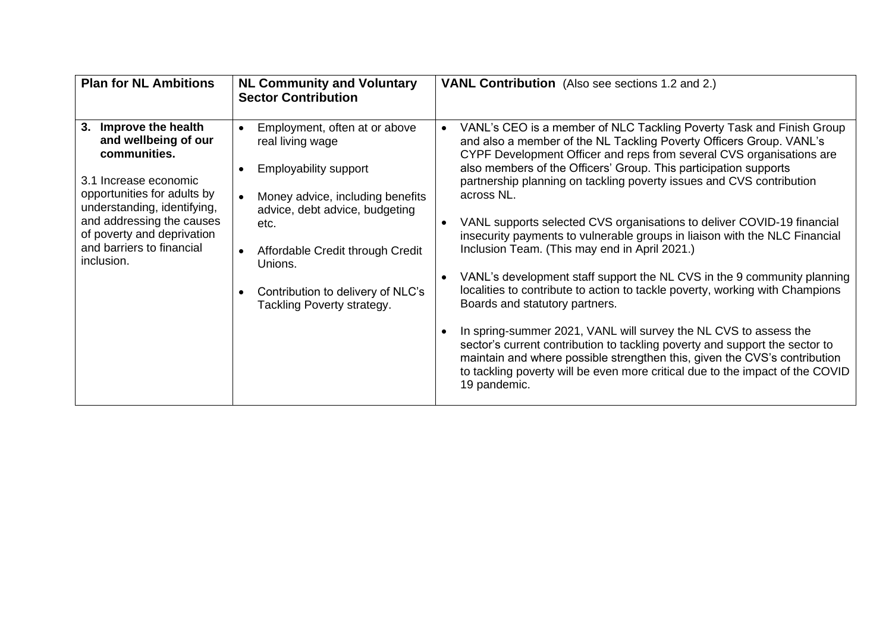| <b>Plan for NL Ambitions</b>                                                                                                                                                                                                                                  | <b>NL Community and Voluntary</b><br><b>Sector Contribution</b>                                                                                                                                                                                                                   | <b>VANL Contribution</b> (Also see sections 1.2 and 2.)                                                                                                                                                                                                                                                                                                                                                                                                                                                                                                                                                                                                                                                                                                                                                                                                                                                                                                                                                                                                                                                              |
|---------------------------------------------------------------------------------------------------------------------------------------------------------------------------------------------------------------------------------------------------------------|-----------------------------------------------------------------------------------------------------------------------------------------------------------------------------------------------------------------------------------------------------------------------------------|----------------------------------------------------------------------------------------------------------------------------------------------------------------------------------------------------------------------------------------------------------------------------------------------------------------------------------------------------------------------------------------------------------------------------------------------------------------------------------------------------------------------------------------------------------------------------------------------------------------------------------------------------------------------------------------------------------------------------------------------------------------------------------------------------------------------------------------------------------------------------------------------------------------------------------------------------------------------------------------------------------------------------------------------------------------------------------------------------------------------|
| Improve the health<br>3.<br>and wellbeing of our<br>communities.<br>3.1 Increase economic<br>opportunities for adults by<br>understanding, identifying,<br>and addressing the causes<br>of poverty and deprivation<br>and barriers to financial<br>inclusion. | Employment, often at or above<br>real living wage<br><b>Employability support</b><br>Money advice, including benefits<br>advice, debt advice, budgeting<br>etc.<br>Affordable Credit through Credit<br>Unions.<br>Contribution to delivery of NLC's<br>Tackling Poverty strategy. | VANL's CEO is a member of NLC Tackling Poverty Task and Finish Group<br>and also a member of the NL Tackling Poverty Officers Group. VANL's<br>CYPF Development Officer and reps from several CVS organisations are<br>also members of the Officers' Group. This participation supports<br>partnership planning on tackling poverty issues and CVS contribution<br>across NL.<br>VANL supports selected CVS organisations to deliver COVID-19 financial<br>insecurity payments to vulnerable groups in liaison with the NLC Financial<br>Inclusion Team. (This may end in April 2021.)<br>VANL's development staff support the NL CVS in the 9 community planning<br>localities to contribute to action to tackle poverty, working with Champions<br>Boards and statutory partners.<br>In spring-summer 2021, VANL will survey the NL CVS to assess the<br>sector's current contribution to tackling poverty and support the sector to<br>maintain and where possible strengthen this, given the CVS's contribution<br>to tackling poverty will be even more critical due to the impact of the COVID<br>19 pandemic. |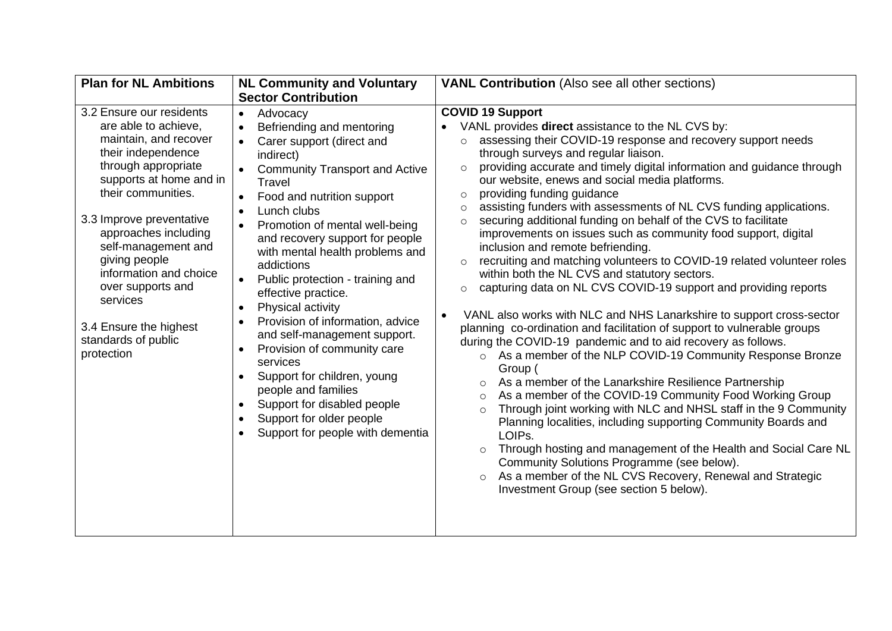| <b>Plan for NL Ambitions</b>                                                                                                                                                                                                                                                                                                                                                                  | <b>NL Community and Voluntary</b>                                                                                                                                                                                                                                                                                                                                                                                                                                                                                                                                                                                                                                                                                          | <b>VANL Contribution</b> (Also see all other sections)                                                                                                                                                                                                                                                                                                                                                                                                                                                                                                                                                                                                                                                                                                                                                                                                                                                                                                                                                                                                                                                                                                                                                                                                                                                                                                                                                                                                                                                                                                                                                                                                                                                                                            |
|-----------------------------------------------------------------------------------------------------------------------------------------------------------------------------------------------------------------------------------------------------------------------------------------------------------------------------------------------------------------------------------------------|----------------------------------------------------------------------------------------------------------------------------------------------------------------------------------------------------------------------------------------------------------------------------------------------------------------------------------------------------------------------------------------------------------------------------------------------------------------------------------------------------------------------------------------------------------------------------------------------------------------------------------------------------------------------------------------------------------------------------|---------------------------------------------------------------------------------------------------------------------------------------------------------------------------------------------------------------------------------------------------------------------------------------------------------------------------------------------------------------------------------------------------------------------------------------------------------------------------------------------------------------------------------------------------------------------------------------------------------------------------------------------------------------------------------------------------------------------------------------------------------------------------------------------------------------------------------------------------------------------------------------------------------------------------------------------------------------------------------------------------------------------------------------------------------------------------------------------------------------------------------------------------------------------------------------------------------------------------------------------------------------------------------------------------------------------------------------------------------------------------------------------------------------------------------------------------------------------------------------------------------------------------------------------------------------------------------------------------------------------------------------------------------------------------------------------------------------------------------------------------|
|                                                                                                                                                                                                                                                                                                                                                                                               | <b>Sector Contribution</b>                                                                                                                                                                                                                                                                                                                                                                                                                                                                                                                                                                                                                                                                                                 |                                                                                                                                                                                                                                                                                                                                                                                                                                                                                                                                                                                                                                                                                                                                                                                                                                                                                                                                                                                                                                                                                                                                                                                                                                                                                                                                                                                                                                                                                                                                                                                                                                                                                                                                                   |
| 3.2 Ensure our residents<br>are able to achieve,<br>maintain, and recover<br>their independence<br>through appropriate<br>supports at home and in<br>their communities.<br>3.3 Improve preventative<br>approaches including<br>self-management and<br>giving people<br>information and choice<br>over supports and<br>services<br>3.4 Ensure the highest<br>standards of public<br>protection | Advocacy<br>$\bullet$<br>Befriending and mentoring<br>Carer support (direct and<br>indirect)<br><b>Community Transport and Active</b><br>$\bullet$<br>Travel<br>Food and nutrition support<br>Lunch clubs<br>$\bullet$<br>Promotion of mental well-being<br>$\bullet$<br>and recovery support for people<br>with mental health problems and<br>addictions<br>Public protection - training and<br>$\bullet$<br>effective practice.<br>Physical activity<br>Provision of information, advice<br>and self-management support.<br>Provision of community care<br>services<br>Support for children, young<br>people and families<br>Support for disabled people<br>Support for older people<br>Support for people with dementia | <b>COVID 19 Support</b><br>VANL provides direct assistance to the NL CVS by:<br>assessing their COVID-19 response and recovery support needs<br>$\circ$<br>through surveys and regular liaison.<br>providing accurate and timely digital information and guidance through<br>$\Omega$<br>our website, enews and social media platforms.<br>providing funding guidance<br>$\circ$<br>assisting funders with assessments of NL CVS funding applications.<br>$\circ$<br>securing additional funding on behalf of the CVS to facilitate<br>$\circ$<br>improvements on issues such as community food support, digital<br>inclusion and remote befriending.<br>recruiting and matching volunteers to COVID-19 related volunteer roles<br>$\circ$<br>within both the NL CVS and statutory sectors.<br>capturing data on NL CVS COVID-19 support and providing reports<br>$\circ$<br>VANL also works with NLC and NHS Lanarkshire to support cross-sector<br>$\bullet$<br>planning co-ordination and facilitation of support to vulnerable groups<br>during the COVID-19 pandemic and to aid recovery as follows.<br>As a member of the NLP COVID-19 Community Response Bronze<br>$\circ$<br>Group (<br>As a member of the Lanarkshire Resilience Partnership<br>$\circ$<br>As a member of the COVID-19 Community Food Working Group<br>$\circ$<br>Through joint working with NLC and NHSL staff in the 9 Community<br>$\circ$<br>Planning localities, including supporting Community Boards and<br>LOIPs.<br>Through hosting and management of the Health and Social Care NL<br>$\circ$<br>Community Solutions Programme (see below).<br>As a member of the NL CVS Recovery, Renewal and Strategic<br>$\circ$<br>Investment Group (see section 5 below). |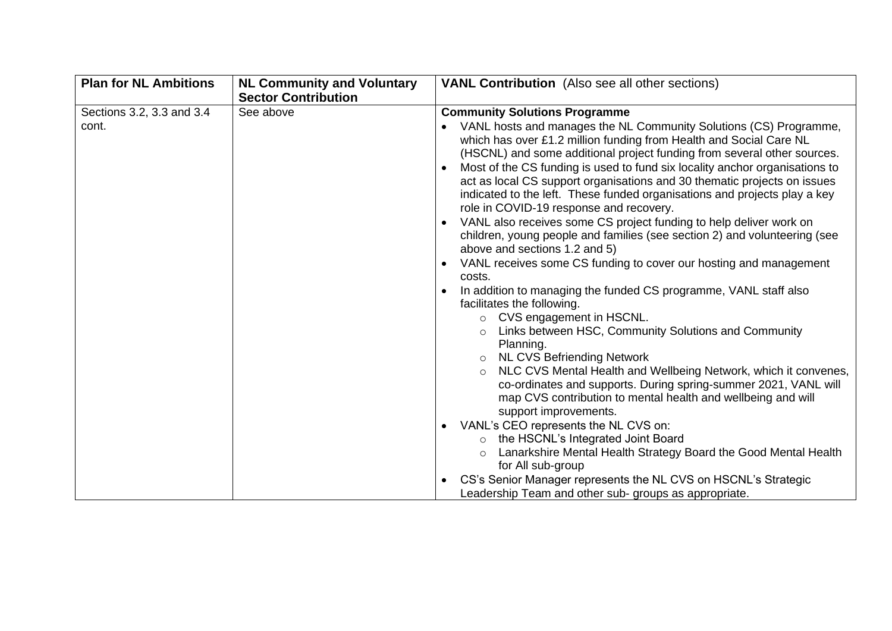| <b>Plan for NL Ambitions</b>       | <b>NL Community and Voluntary</b><br><b>Sector Contribution</b> | <b>VANL Contribution</b> (Also see all other sections)                                                                                                                                                                                                                                                                                                                                                                                                                                                                                                                                                                                                                                                                                                                                                                                                                                                                                                                                                                                                                                                                                                                       |
|------------------------------------|-----------------------------------------------------------------|------------------------------------------------------------------------------------------------------------------------------------------------------------------------------------------------------------------------------------------------------------------------------------------------------------------------------------------------------------------------------------------------------------------------------------------------------------------------------------------------------------------------------------------------------------------------------------------------------------------------------------------------------------------------------------------------------------------------------------------------------------------------------------------------------------------------------------------------------------------------------------------------------------------------------------------------------------------------------------------------------------------------------------------------------------------------------------------------------------------------------------------------------------------------------|
| Sections 3.2, 3.3 and 3.4<br>cont. | See above                                                       | <b>Community Solutions Programme</b><br>VANL hosts and manages the NL Community Solutions (CS) Programme,<br>$\bullet$<br>which has over £1.2 million funding from Health and Social Care NL<br>(HSCNL) and some additional project funding from several other sources.<br>Most of the CS funding is used to fund six locality anchor organisations to<br>$\bullet$<br>act as local CS support organisations and 30 thematic projects on issues<br>indicated to the left. These funded organisations and projects play a key<br>role in COVID-19 response and recovery.<br>VANL also receives some CS project funding to help deliver work on<br>$\bullet$<br>children, young people and families (see section 2) and volunteering (see<br>above and sections 1.2 and 5)<br>VANL receives some CS funding to cover our hosting and management<br>$\bullet$<br>costs.<br>In addition to managing the funded CS programme, VANL staff also<br>facilitates the following.<br>o CVS engagement in HSCNL.<br>Links between HSC, Community Solutions and Community<br>Planning.<br>o NL CVS Befriending Network<br>NLC CVS Mental Health and Wellbeing Network, which it convenes, |
|                                    |                                                                 | co-ordinates and supports. During spring-summer 2021, VANL will<br>map CVS contribution to mental health and wellbeing and will<br>support improvements.                                                                                                                                                                                                                                                                                                                                                                                                                                                                                                                                                                                                                                                                                                                                                                                                                                                                                                                                                                                                                     |
|                                    |                                                                 | VANL's CEO represents the NL CVS on:<br>$\bullet$<br>the HSCNL's Integrated Joint Board<br>$\circ$<br>Lanarkshire Mental Health Strategy Board the Good Mental Health<br>$\circ$<br>for All sub-group                                                                                                                                                                                                                                                                                                                                                                                                                                                                                                                                                                                                                                                                                                                                                                                                                                                                                                                                                                        |
|                                    |                                                                 | CS's Senior Manager represents the NL CVS on HSCNL's Strategic<br>Leadership Team and other sub- groups as appropriate.                                                                                                                                                                                                                                                                                                                                                                                                                                                                                                                                                                                                                                                                                                                                                                                                                                                                                                                                                                                                                                                      |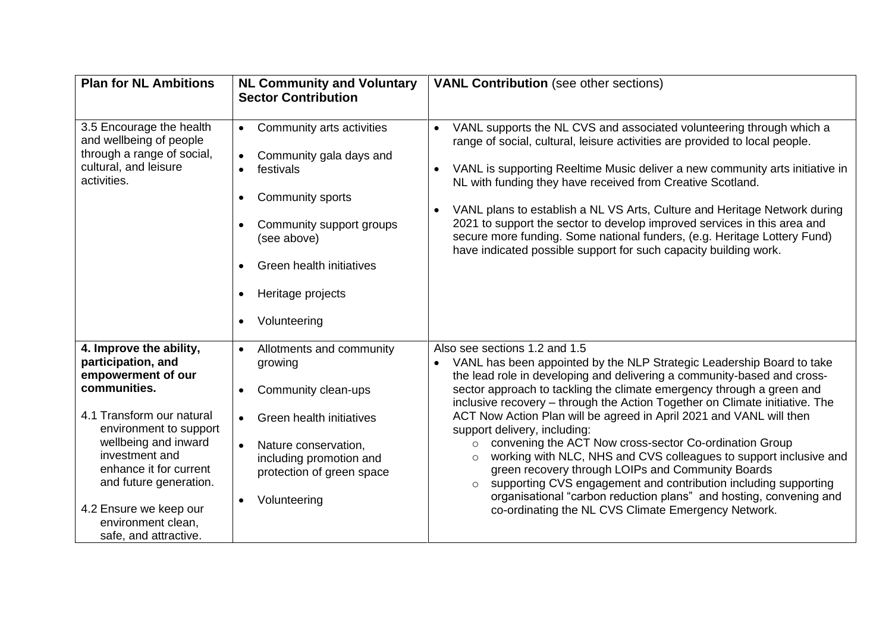| <b>Plan for NL Ambitions</b>                                                                                                                                                                                                                                                                                      | <b>NL Community and Voluntary</b><br><b>Sector Contribution</b>                                                                                                                                                                          | <b>VANL Contribution</b> (see other sections)                                                                                                                                                                                                                                                                                                                                                                                                                                                                                                                                                                                                                                                                                                                                                                                                                         |
|-------------------------------------------------------------------------------------------------------------------------------------------------------------------------------------------------------------------------------------------------------------------------------------------------------------------|------------------------------------------------------------------------------------------------------------------------------------------------------------------------------------------------------------------------------------------|-----------------------------------------------------------------------------------------------------------------------------------------------------------------------------------------------------------------------------------------------------------------------------------------------------------------------------------------------------------------------------------------------------------------------------------------------------------------------------------------------------------------------------------------------------------------------------------------------------------------------------------------------------------------------------------------------------------------------------------------------------------------------------------------------------------------------------------------------------------------------|
| 3.5 Encourage the health<br>and wellbeing of people<br>through a range of social,<br>cultural, and leisure<br>activities.                                                                                                                                                                                         | Community arts activities<br>$\bullet$<br>Community gala days and<br>festivals<br>Community sports<br>Community support groups<br>(see above)<br>Green health initiatives<br>$\bullet$<br>Heritage projects<br>Volunteering<br>$\bullet$ | VANL supports the NL CVS and associated volunteering through which a<br>$\bullet$<br>range of social, cultural, leisure activities are provided to local people.<br>VANL is supporting Reeltime Music deliver a new community arts initiative in<br>NL with funding they have received from Creative Scotland.<br>VANL plans to establish a NL VS Arts, Culture and Heritage Network during<br>$\bullet$<br>2021 to support the sector to develop improved services in this area and<br>secure more funding. Some national funders, (e.g. Heritage Lottery Fund)<br>have indicated possible support for such capacity building work.                                                                                                                                                                                                                                  |
| 4. Improve the ability,<br>participation, and<br>empowerment of our<br>communities.<br>4.1 Transform our natural<br>environment to support<br>wellbeing and inward<br>investment and<br>enhance it for current<br>and future generation.<br>4.2 Ensure we keep our<br>environment clean,<br>safe, and attractive. | Allotments and community<br>growing<br>Community clean-ups<br><b>Green health initiatives</b><br>$\bullet$<br>Nature conservation,<br>including promotion and<br>protection of green space<br>Volunteering                               | Also see sections 1.2 and 1.5<br>VANL has been appointed by the NLP Strategic Leadership Board to take<br>the lead role in developing and delivering a community-based and cross-<br>sector approach to tackling the climate emergency through a green and<br>inclusive recovery - through the Action Together on Climate initiative. The<br>ACT Now Action Plan will be agreed in April 2021 and VANL will then<br>support delivery, including:<br>convening the ACT Now cross-sector Co-ordination Group<br>$\circ$<br>working with NLC, NHS and CVS colleagues to support inclusive and<br>$\circ$<br>green recovery through LOIPs and Community Boards<br>supporting CVS engagement and contribution including supporting<br>$\circ$<br>organisational "carbon reduction plans" and hosting, convening and<br>co-ordinating the NL CVS Climate Emergency Network. |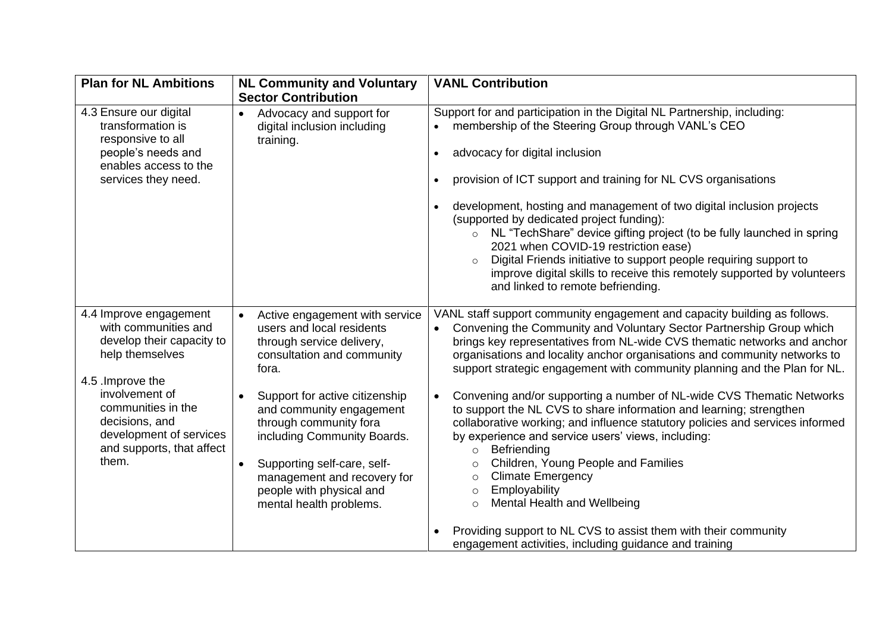| <b>Plan for NL Ambitions</b>                                                                                                                                                                                                                   | <b>NL Community and Voluntary</b><br><b>Sector Contribution</b>                                                                                                                                                                                                                                                                                                                                                    | <b>VANL Contribution</b>                                                                                                                                                                                                                                                                                                                                                                                                                                                                                                                                                                                                                                                                                                                                                                                                                                                                                                                                                                                           |
|------------------------------------------------------------------------------------------------------------------------------------------------------------------------------------------------------------------------------------------------|--------------------------------------------------------------------------------------------------------------------------------------------------------------------------------------------------------------------------------------------------------------------------------------------------------------------------------------------------------------------------------------------------------------------|--------------------------------------------------------------------------------------------------------------------------------------------------------------------------------------------------------------------------------------------------------------------------------------------------------------------------------------------------------------------------------------------------------------------------------------------------------------------------------------------------------------------------------------------------------------------------------------------------------------------------------------------------------------------------------------------------------------------------------------------------------------------------------------------------------------------------------------------------------------------------------------------------------------------------------------------------------------------------------------------------------------------|
| 4.3 Ensure our digital<br>transformation is<br>responsive to all<br>people's needs and<br>enables access to the<br>services they need.                                                                                                         | Advocacy and support for<br>$\bullet$<br>digital inclusion including<br>training.                                                                                                                                                                                                                                                                                                                                  | Support for and participation in the Digital NL Partnership, including:<br>membership of the Steering Group through VANL's CEO<br>$\bullet$<br>advocacy for digital inclusion<br>$\bullet$<br>provision of ICT support and training for NL CVS organisations<br>development, hosting and management of two digital inclusion projects<br>(supported by dedicated project funding):<br>NL "TechShare" device gifting project (to be fully launched in spring<br>$\circ$<br>2021 when COVID-19 restriction ease)<br>Digital Friends initiative to support people requiring support to<br>$\circ$<br>improve digital skills to receive this remotely supported by volunteers<br>and linked to remote befriending.                                                                                                                                                                                                                                                                                                     |
| 4.4 Improve engagement<br>with communities and<br>develop their capacity to<br>help themselves<br>4.5 . Improve the<br>involvement of<br>communities in the<br>decisions, and<br>development of services<br>and supports, that affect<br>them. | Active engagement with service<br>$\bullet$<br>users and local residents<br>through service delivery,<br>consultation and community<br>fora.<br>Support for active citizenship<br>$\bullet$<br>and community engagement<br>through community fora<br>including Community Boards.<br>Supporting self-care, self-<br>$\bullet$<br>management and recovery for<br>people with physical and<br>mental health problems. | VANL staff support community engagement and capacity building as follows.<br>Convening the Community and Voluntary Sector Partnership Group which<br>brings key representatives from NL-wide CVS thematic networks and anchor<br>organisations and locality anchor organisations and community networks to<br>support strategic engagement with community planning and the Plan for NL.<br>Convening and/or supporting a number of NL-wide CVS Thematic Networks<br>$\bullet$<br>to support the NL CVS to share information and learning; strengthen<br>collaborative working; and influence statutory policies and services informed<br>by experience and service users' views, including:<br>Befriending<br>$\circ$<br>Children, Young People and Families<br>O<br><b>Climate Emergency</b><br>$\circ$<br>Employability<br>$\circ$<br><b>Mental Health and Wellbeing</b><br>$\circ$<br>Providing support to NL CVS to assist them with their community<br>engagement activities, including guidance and training |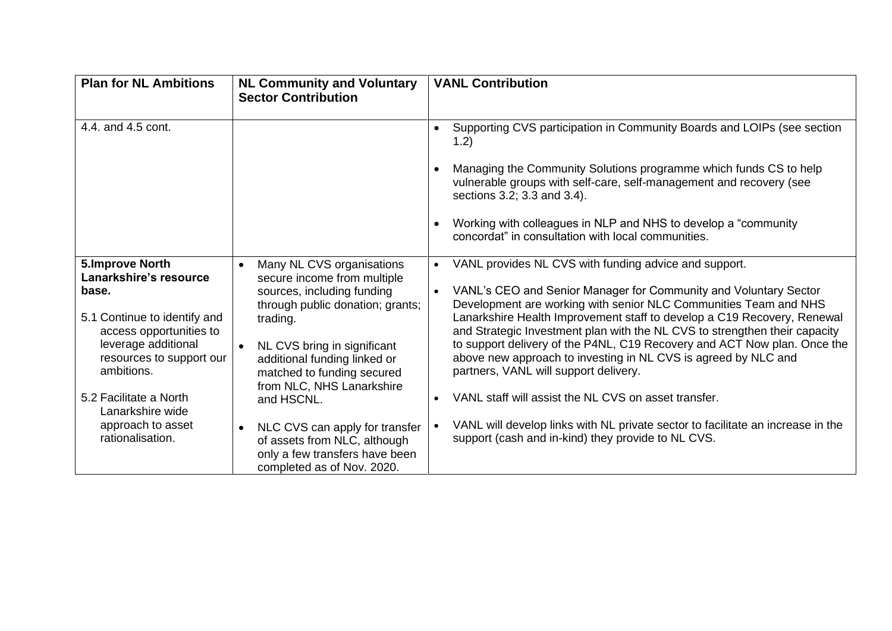| <b>Plan for NL Ambitions</b>                                                                                                                                                                                                                                                 | <b>NL Community and Voluntary</b><br><b>Sector Contribution</b>                                                                                                                                                                                                                                                                                                                                                                            | <b>VANL Contribution</b>                                                                                                                                                                                                                                                                                                                                                                                                                                                                                                                                                                                                                                                                                                                                                 |
|------------------------------------------------------------------------------------------------------------------------------------------------------------------------------------------------------------------------------------------------------------------------------|--------------------------------------------------------------------------------------------------------------------------------------------------------------------------------------------------------------------------------------------------------------------------------------------------------------------------------------------------------------------------------------------------------------------------------------------|--------------------------------------------------------------------------------------------------------------------------------------------------------------------------------------------------------------------------------------------------------------------------------------------------------------------------------------------------------------------------------------------------------------------------------------------------------------------------------------------------------------------------------------------------------------------------------------------------------------------------------------------------------------------------------------------------------------------------------------------------------------------------|
| 4.4. and 4.5 cont.                                                                                                                                                                                                                                                           |                                                                                                                                                                                                                                                                                                                                                                                                                                            | Supporting CVS participation in Community Boards and LOIPs (see section<br>1.2)<br>Managing the Community Solutions programme which funds CS to help<br>vulnerable groups with self-care, self-management and recovery (see<br>sections 3.2; 3.3 and 3.4).<br>Working with colleagues in NLP and NHS to develop a "community"<br>concordat" in consultation with local communities.                                                                                                                                                                                                                                                                                                                                                                                      |
| <b>5.Improve North</b><br>Lanarkshire's resource<br>base.<br>5.1 Continue to identify and<br>access opportunities to<br>leverage additional<br>resources to support our<br>ambitions.<br>5.2 Facilitate a North<br>Lanarkshire wide<br>approach to asset<br>rationalisation. | Many NL CVS organisations<br>secure income from multiple<br>sources, including funding<br>through public donation; grants;<br>trading.<br>NL CVS bring in significant<br>$\bullet$<br>additional funding linked or<br>matched to funding secured<br>from NLC, NHS Lanarkshire<br>and HSCNL.<br>NLC CVS can apply for transfer<br>$\bullet$<br>of assets from NLC, although<br>only a few transfers have been<br>completed as of Nov. 2020. | VANL provides NL CVS with funding advice and support.<br>VANL's CEO and Senior Manager for Community and Voluntary Sector<br>$\bullet$<br>Development are working with senior NLC Communities Team and NHS<br>Lanarkshire Health Improvement staff to develop a C19 Recovery, Renewal<br>and Strategic Investment plan with the NL CVS to strengthen their capacity<br>to support delivery of the P4NL, C19 Recovery and ACT Now plan. Once the<br>above new approach to investing in NL CVS is agreed by NLC and<br>partners, VANL will support delivery.<br>VANL staff will assist the NL CVS on asset transfer.<br>$\bullet$<br>VANL will develop links with NL private sector to facilitate an increase in the<br>support (cash and in-kind) they provide to NL CVS. |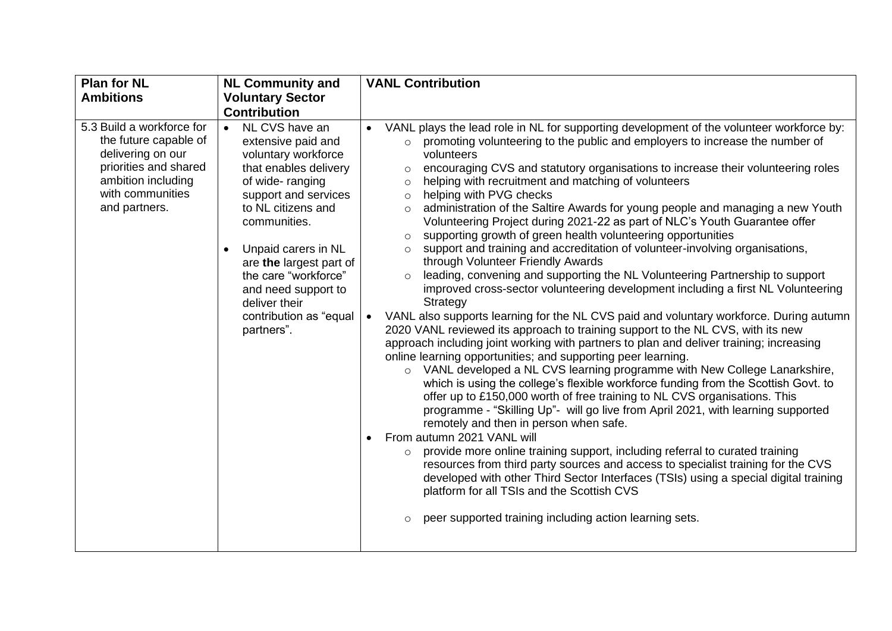| <b>Plan for NL</b>                                                                                                                                          | <b>NL Community and</b>                                                                                                                                                                                                                                                                                                                                   | <b>VANL Contribution</b>                                                                                                                                                                                                                                                                                                                                                                                                                                                                                                                                                                                                                                                                                                                                                                                                                                                                                                                                                                                                                                                                                                                                                                                                                                                                                                                                                                                                                                                                                                                                                                                                                                                                                                                                                                                                                                                                                                                                                                                                                                                                                                                                |
|-------------------------------------------------------------------------------------------------------------------------------------------------------------|-----------------------------------------------------------------------------------------------------------------------------------------------------------------------------------------------------------------------------------------------------------------------------------------------------------------------------------------------------------|---------------------------------------------------------------------------------------------------------------------------------------------------------------------------------------------------------------------------------------------------------------------------------------------------------------------------------------------------------------------------------------------------------------------------------------------------------------------------------------------------------------------------------------------------------------------------------------------------------------------------------------------------------------------------------------------------------------------------------------------------------------------------------------------------------------------------------------------------------------------------------------------------------------------------------------------------------------------------------------------------------------------------------------------------------------------------------------------------------------------------------------------------------------------------------------------------------------------------------------------------------------------------------------------------------------------------------------------------------------------------------------------------------------------------------------------------------------------------------------------------------------------------------------------------------------------------------------------------------------------------------------------------------------------------------------------------------------------------------------------------------------------------------------------------------------------------------------------------------------------------------------------------------------------------------------------------------------------------------------------------------------------------------------------------------------------------------------------------------------------------------------------------------|
| <b>Ambitions</b>                                                                                                                                            | <b>Voluntary Sector</b>                                                                                                                                                                                                                                                                                                                                   |                                                                                                                                                                                                                                                                                                                                                                                                                                                                                                                                                                                                                                                                                                                                                                                                                                                                                                                                                                                                                                                                                                                                                                                                                                                                                                                                                                                                                                                                                                                                                                                                                                                                                                                                                                                                                                                                                                                                                                                                                                                                                                                                                         |
|                                                                                                                                                             | <b>Contribution</b>                                                                                                                                                                                                                                                                                                                                       |                                                                                                                                                                                                                                                                                                                                                                                                                                                                                                                                                                                                                                                                                                                                                                                                                                                                                                                                                                                                                                                                                                                                                                                                                                                                                                                                                                                                                                                                                                                                                                                                                                                                                                                                                                                                                                                                                                                                                                                                                                                                                                                                                         |
| 5.3 Build a workforce for<br>the future capable of<br>delivering on our<br>priorities and shared<br>ambition including<br>with communities<br>and partners. | NL CVS have an<br>$\bullet$<br>extensive paid and<br>voluntary workforce<br>that enables delivery<br>of wide-ranging<br>support and services<br>to NL citizens and<br>communities.<br>Unpaid carers in NL<br>$\bullet$<br>are the largest part of<br>the care "workforce"<br>and need support to<br>deliver their<br>contribution as "equal<br>partners". | VANL plays the lead role in NL for supporting development of the volunteer workforce by:<br>promoting volunteering to the public and employers to increase the number of<br>$\circ$<br>volunteers<br>encouraging CVS and statutory organisations to increase their volunteering roles<br>$\circ$<br>helping with recruitment and matching of volunteers<br>$\circ$<br>helping with PVG checks<br>$\circ$<br>administration of the Saltire Awards for young people and managing a new Youth<br>$\circ$<br>Volunteering Project during 2021-22 as part of NLC's Youth Guarantee offer<br>supporting growth of green health volunteering opportunities<br>$\circ$<br>support and training and accreditation of volunteer-involving organisations,<br>$\Omega$<br>through Volunteer Friendly Awards<br>leading, convening and supporting the NL Volunteering Partnership to support<br>$\circ$<br>improved cross-sector volunteering development including a first NL Volunteering<br>Strategy<br>VANL also supports learning for the NL CVS paid and voluntary workforce. During autumn<br>$\bullet$<br>2020 VANL reviewed its approach to training support to the NL CVS, with its new<br>approach including joint working with partners to plan and deliver training; increasing<br>online learning opportunities; and supporting peer learning.<br>o VANL developed a NL CVS learning programme with New College Lanarkshire,<br>which is using the college's flexible workforce funding from the Scottish Govt. to<br>offer up to £150,000 worth of free training to NL CVS organisations. This<br>programme - "Skilling Up"- will go live from April 2021, with learning supported<br>remotely and then in person when safe.<br>From autumn 2021 VANL will<br>provide more online training support, including referral to curated training<br>$\circ$<br>resources from third party sources and access to specialist training for the CVS<br>developed with other Third Sector Interfaces (TSIs) using a special digital training<br>platform for all TSIs and the Scottish CVS<br>peer supported training including action learning sets.<br>$\circ$ |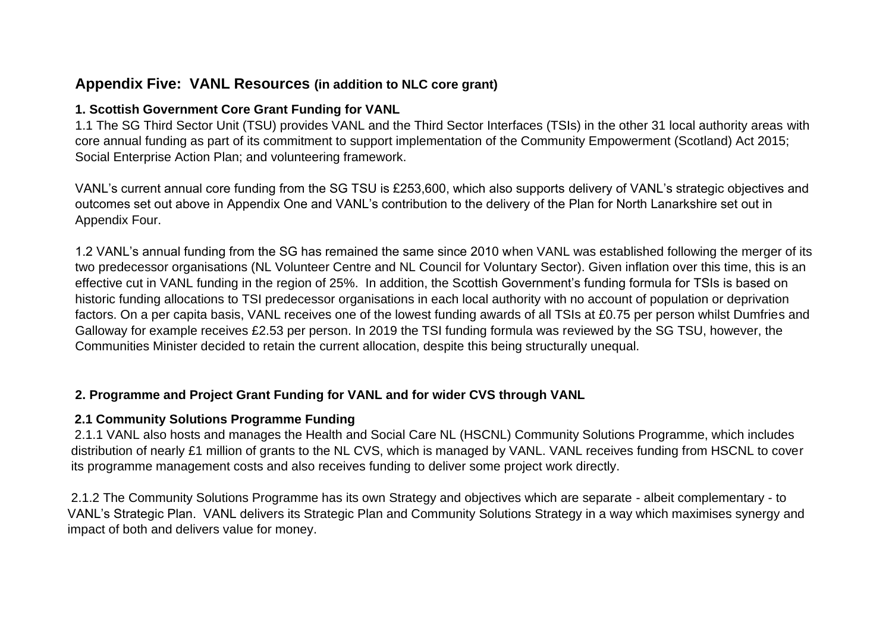### **Appendix Five: VANL Resources (in addition to NLC core grant)**

#### **1. Scottish Government Core Grant Funding for VANL**

1.1 The SG Third Sector Unit (TSU) provides VANL and the Third Sector Interfaces (TSIs) in the other 31 local authority areas with core annual funding as part of its commitment to support implementation of the Community Empowerment (Scotland) Act 2015; Social Enterprise Action Plan; and volunteering framework.

VANL's current annual core funding from the SG TSU is £253,600, which also supports delivery of VANL's strategic objectives and outcomes set out above in Appendix One and VANL's contribution to the delivery of the Plan for North Lanarkshire set out in Appendix Four.

1.2 VANL's annual funding from the SG has remained the same since 2010 when VANL was established following the merger of its two predecessor organisations (NL Volunteer Centre and NL Council for Voluntary Sector). Given inflation over this time, this is an effective cut in VANL funding in the region of 25%. In addition, the Scottish Government's funding formula for TSIs is based on historic funding allocations to TSI predecessor organisations in each local authority with no account of population or deprivation factors. On a per capita basis, VANL receives one of the lowest funding awards of all TSIs at £0.75 per person whilst Dumfries and Galloway for example receives £2.53 per person. In 2019 the TSI funding formula was reviewed by the SG TSU, however, the Communities Minister decided to retain the current allocation, despite this being structurally unequal.

#### **2. Programme and Project Grant Funding for VANL and for wider CVS through VANL**

#### **2.1 Community Solutions Programme Funding**

 2.1.1 VANL also hosts and manages the Health and Social Care NL (HSCNL) Community Solutions Programme, which includes distribution of nearly £1 million of grants to the NL CVS, which is managed by VANL. VANL receives funding from HSCNL to cover its programme management costs and also receives funding to deliver some project work directly.

2.1.2 The Community Solutions Programme has its own Strategy and objectives which are separate - albeit complementary - to VANL's Strategic Plan. VANL delivers its Strategic Plan and Community Solutions Strategy in a way which maximises synergy and impact of both and delivers value for money.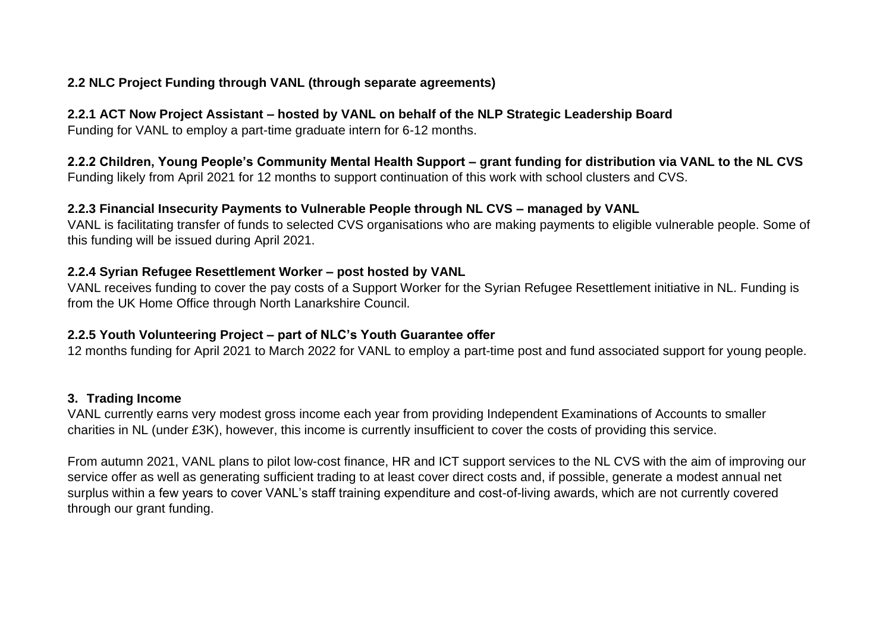#### **2.2 NLC Project Funding through VANL (through separate agreements)**

#### **2.2.1 ACT Now Project Assistant – hosted by VANL on behalf of the NLP Strategic Leadership Board**

Funding for VANL to employ a part-time graduate intern for 6-12 months.

**2.2.2 Children, Young People's Community Mental Health Support – grant funding for distribution via VANL to the NL CVS** Funding likely from April 2021 for 12 months to support continuation of this work with school clusters and CVS.

#### **2.2.3 Financial Insecurity Payments to Vulnerable People through NL CVS – managed by VANL**

VANL is facilitating transfer of funds to selected CVS organisations who are making payments to eligible vulnerable people. Some of this funding will be issued during April 2021.

#### **2.2.4 Syrian Refugee Resettlement Worker – post hosted by VANL**

VANL receives funding to cover the pay costs of a Support Worker for the Syrian Refugee Resettlement initiative in NL. Funding is from the UK Home Office through North Lanarkshire Council.

#### **2.2.5 Youth Volunteering Project – part of NLC's Youth Guarantee offer**

12 months funding for April 2021 to March 2022 for VANL to employ a part-time post and fund associated support for young people.

#### **3. Trading Income**

VANL currently earns very modest gross income each year from providing Independent Examinations of Accounts to smaller charities in NL (under £3K), however, this income is currently insufficient to cover the costs of providing this service.

From autumn 2021, VANL plans to pilot low-cost finance, HR and ICT support services to the NL CVS with the aim of improving our service offer as well as generating sufficient trading to at least cover direct costs and, if possible, generate a modest annual net surplus within a few years to cover VANL's staff training expenditure and cost-of-living awards, which are not currently covered through our grant funding.